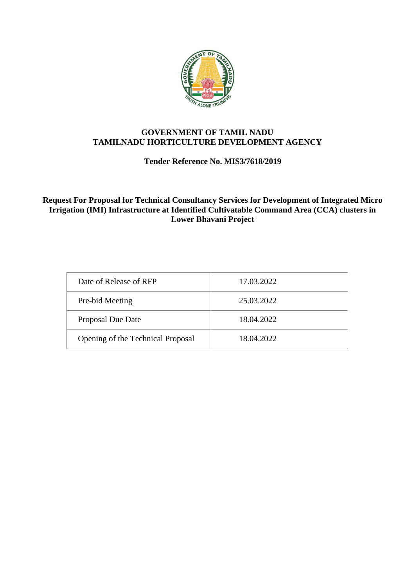

# **GOVERNMENT OF TAMIL NADU TAMILNADU HORTICULTURE DEVELOPMENT AGENCY**

# **Tender Reference No. MIS3/7618/2019**

**Request For Proposal for Technical Consultancy Services for Development of Integrated Micro Irrigation (IMI) Infrastructure at Identified Cultivatable Command Area (CCA) clusters in Lower Bhavani Project**

| Date of Release of RFP            | 17.03.2022 |
|-----------------------------------|------------|
| Pre-bid Meeting                   | 25.03.2022 |
| <b>Proposal Due Date</b>          | 18.04.2022 |
| Opening of the Technical Proposal | 18.04.2022 |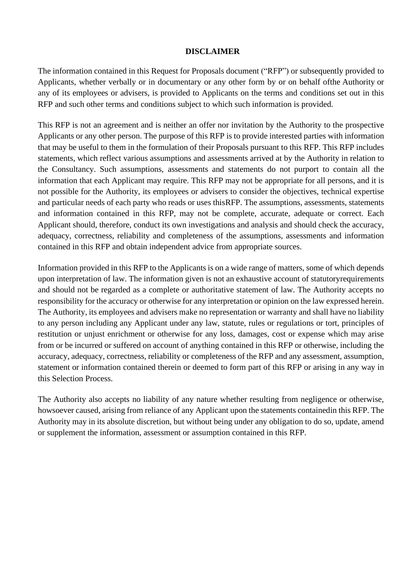### **DISCLAIMER**

The information contained in this Request for Proposals document ("RFP") or subsequently provided to Applicants, whether verbally or in documentary or any other form by or on behalf ofthe Authority or any of its employees or advisers, is provided to Applicants on the terms and conditions set out in this RFP and such other terms and conditions subject to which such information is provided.

This RFP is not an agreement and is neither an offer nor invitation by the Authority to the prospective Applicants or any other person. The purpose of this RFP is to provide interested parties with information that may be useful to them in the formulation of their Proposals pursuant to this RFP. This RFP includes statements, which reflect various assumptions and assessments arrived at by the Authority in relation to the Consultancy. Such assumptions, assessments and statements do not purport to contain all the information that each Applicant may require. This RFP may not be appropriate for all persons, and it is not possible for the Authority, its employees or advisers to consider the objectives, technical expertise and particular needs of each party who reads or uses thisRFP. The assumptions, assessments, statements and information contained in this RFP, may not be complete, accurate, adequate or correct. Each Applicant should, therefore, conduct its own investigations and analysis and should check the accuracy, adequacy, correctness, reliability and completeness of the assumptions, assessments and information contained in this RFP and obtain independent advice from appropriate sources.

Information provided in this RFP to the Applicants is on a wide range of matters, some of which depends upon interpretation of law. The information given is not an exhaustive account of statutoryrequirements and should not be regarded as a complete or authoritative statement of law. The Authority accepts no responsibility for the accuracy or otherwise for any interpretation or opinion on the law expressed herein. The Authority, its employees and advisers make no representation or warranty and shall have no liability to any person including any Applicant under any law, statute, rules or regulations or tort, principles of restitution or unjust enrichment or otherwise for any loss, damages, cost or expense which may arise from or be incurred or suffered on account of anything contained in this RFP or otherwise, including the accuracy, adequacy, correctness, reliability or completeness of the RFP and any assessment, assumption, statement or information contained therein or deemed to form part of this RFP or arising in any way in this Selection Process.

The Authority also accepts no liability of any nature whether resulting from negligence or otherwise, howsoever caused, arising from reliance of any Applicant upon the statements containedin this RFP. The Authority may in its absolute discretion, but without being under any obligation to do so, update, amend or supplement the information, assessment or assumption contained in this RFP.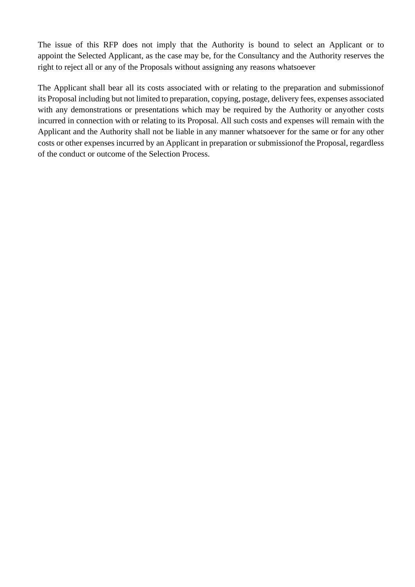The issue of this RFP does not imply that the Authority is bound to select an Applicant or to appoint the Selected Applicant, as the case may be, for the Consultancy and the Authority reserves the right to reject all or any of the Proposals without assigning any reasons whatsoever

The Applicant shall bear all its costs associated with or relating to the preparation and submissionof its Proposal including but not limited to preparation, copying, postage, delivery fees, expenses associated with any demonstrations or presentations which may be required by the Authority or anyother costs incurred in connection with or relating to its Proposal. All such costs and expenses will remain with the Applicant and the Authority shall not be liable in any manner whatsoever for the same or for any other costs or other expenses incurred by an Applicant in preparation or submissionof the Proposal, regardless of the conduct or outcome of the Selection Process.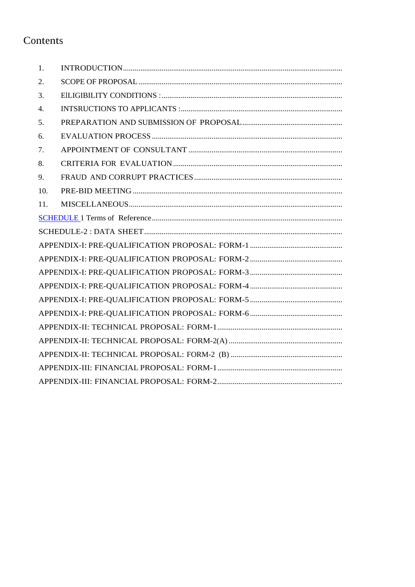# Contents

| 1.  |  |
|-----|--|
| 2.  |  |
| 3.  |  |
| 4.  |  |
| 5.  |  |
| 6.  |  |
| 7.  |  |
| 8.  |  |
| 9.  |  |
| 10. |  |
| 11. |  |
|     |  |
|     |  |
|     |  |
|     |  |
|     |  |
|     |  |
|     |  |
|     |  |
|     |  |
|     |  |
|     |  |
|     |  |
|     |  |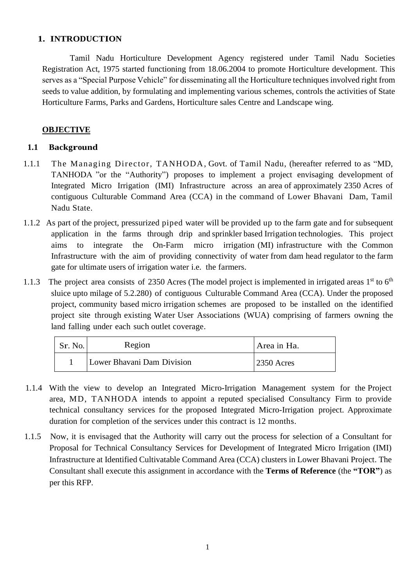# **1. INTRODUCTION**

Tamil Nadu Horticulture Development Agency registered under Tamil Nadu Societies Registration Act, 1975 started functioning from 18.06.2004 to promote Horticulture development. This serves as a "Special Purpose Vehicle" for disseminating all the Horticulture techniques involved right from seeds to value addition, by formulating and implementing various schemes, controls the activities of State Horticulture Farms, Parks and Gardens, Horticulture sales Centre and Landscape wing.

# **OBJECTIVE**

# **1.1 Background**

- 1.1.1 The Managing Director, TANHODA, Govt. of Tamil Nadu, (hereafter referred to as "MD, TANHODA "or the "Authority") proposes to implement a project envisaging development of Integrated Micro Irrigation (IMI) Infrastructure across an area of approximately 2350 Acres of contiguous Culturable Command Area (CCA) in the command of Lower Bhavani Dam, Tamil Nadu State.
- 1.1.2 As part of the project, pressurized piped water will be provided up to the farm gate and for subsequent application in the farms through drip and sprinkler based Irrigation technologies. This project aims to integrate the On-Farm micro irrigation (MI) infrastructure with the Common Infrastructure with the aim of providing connectivity of water from dam head regulator to the farm gate for ultimate users of irrigation water i.e. the farmers.
- 1.1.3 The project area consists of 2350 Acres (The model project is implemented in irrigated areas 1<sup>st</sup> to 6<sup>th</sup> sluice upto milage of 5.2.280) of contiguous Culturable Command Area (CCA). Under the proposed project, community based micro irrigation schemes are proposed to be installed on the identified project site through existing Water User Associations (WUA) comprising of farmers owning the land falling under each such outlet coverage.

| Sr. No. | Region                     | Area in Ha.  |
|---------|----------------------------|--------------|
|         | Lower Bhavani Dam Division | $2350$ Acres |

- 1.1.4 With the view to develop an Integrated Micro-Irrigation Management system for the Project area, MD, TANHODA intends to appoint a reputed specialised Consultancy Firm to provide technical consultancy services for the proposed Integrated Micro-Irrigation project. Approximate duration for completion of the services under this contract is 12 months.
- 1.1.5 Now, it is envisaged that the Authority will carry out the process for selection of a Consultant for Proposal for Technical Consultancy Services for Development of Integrated Micro Irrigation (IMI) Infrastructure at Identified Cultivatable Command Area (CCA) clusters in Lower Bhavani Project. The Consultant shall execute this assignment in accordance with the **Terms of Reference** (the **"TOR"**) as per this RFP.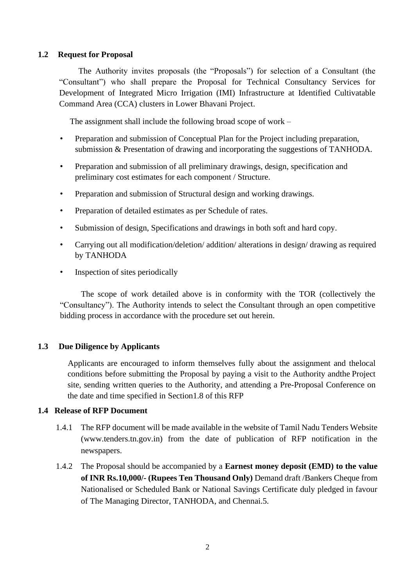## **1.2 Request for Proposal**

The Authority invites proposals (the "Proposals") for selection of a Consultant (the "Consultant") who shall prepare the Proposal for Technical Consultancy Services for Development of Integrated Micro Irrigation (IMI) Infrastructure at Identified Cultivatable Command Area (CCA) clusters in Lower Bhavani Project.

The assignment shall include the following broad scope of work –

- Preparation and submission of Conceptual Plan for the Project including preparation, submission & Presentation of drawing and incorporating the suggestions of TANHODA.
- Preparation and submission of all preliminary drawings, design, specification and preliminary cost estimates for each component / Structure.
- Preparation and submission of Structural design and working drawings.
- Preparation of detailed estimates as per Schedule of rates.
- Submission of design, Specifications and drawings in both soft and hard copy.
- Carrying out all modification/deletion/ addition/ alterations in design/ drawing as required by TANHODA
- Inspection of sites periodically

 The scope of work detailed above is in conformity with the TOR (collectively the "Consultancy"). The Authority intends to select the Consultant through an open competitive bidding process in accordance with the procedure set out herein.

# **1.3 Due Diligence by Applicants**

Applicants are encouraged to inform themselves fully about the assignment and thelocal conditions before submitting the Proposal by paying a visit to the Authority andthe Project site, sending written queries to the Authority, and attending a Pre-Proposal Conference on the date and time specified in Section1.8 of this RFP

## **1.4 Release of RFP Document**

- 1.4.1 The RFP document will be made available in the website of Tamil Nadu Tenders Website (www.tenders.tn.gov.in) from the date of publication of RFP notification in the newspapers.
- 1.4.2 The Proposal should be accompanied by a **Earnest money deposit (EMD) to the value of INR Rs.10,000/- (Rupees Ten Thousand Only)** Demand draft /Bankers Cheque from Nationalised or Scheduled Bank or National Savings Certificate duly pledged in favour of The Managing Director, TANHODA, and Chennai.5.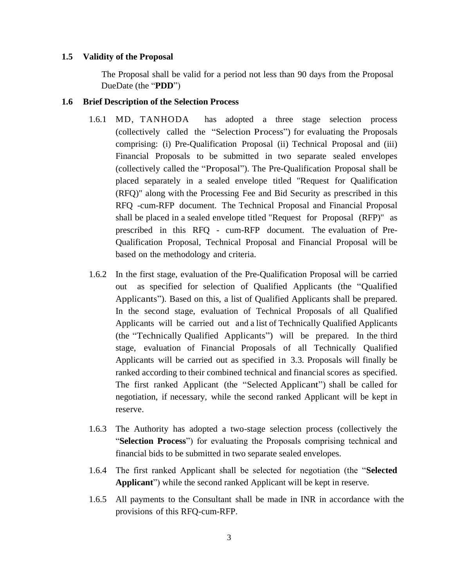#### **1.5 Validity of the Proposal**

The Proposal shall be valid for a period not less than 90 days from the Proposal DueDate (the "**PDD**")

#### **1.6 Brief Description of the Selection Process**

- 1.6.1 MD, TANHODA has adopted a three stage selection process (collectively called the "Selection Process") for evaluating the Proposals comprising: (i) Pre-Qualification Proposal (ii) Technical Proposal and (iii) Financial Proposals to be submitted in two separate sealed envelopes (collectively called the "Proposal"). The Pre-Qualification Proposal shall be placed separately in a sealed envelope titled "Request for Qualification (RFQ)" along with the Processing Fee and Bid Security as prescribed in this RFQ -cum-RFP document. The Technical Proposal and Financial Proposal shall be placed in a sealed envelope titled "Request for Proposal (RFP)" as prescribed in this RFQ - cum-RFP document. The evaluation of Pre-Qualification Proposal, Technical Proposal and Financial Proposal will be based on the methodology and criteria.
- 1.6.2 In the first stage, evaluation of the Pre-Qualification Proposal will be carried out as specified for selection of Qualified Applicants (the "Qualified Applicants"). Based on this, a list of Qualified Applicants shall be prepared. In the second stage, evaluation of Technical Proposals of all Qualified Applicants will be carried out and a list of Technically Qualified Applicants (the "Technically Qualified Applicants") will be prepared. In the third stage, evaluation of Financial Proposals of all Technically Qualified Applicants will be carried out as specified in 3.3. Proposals will finally be ranked according to their combined technical and financial scores as specified. The first ranked Applicant (the "Selected Applicant") shall be called for negotiation, if necessary, while the second ranked Applicant will be kept in reserve.
- 1.6.3 The Authority has adopted a two-stage selection process (collectively the "**Selection Process**") for evaluating the Proposals comprising technical and financial bids to be submitted in two separate sealed envelopes.
- 1.6.4 The first ranked Applicant shall be selected for negotiation (the "**Selected Applicant**") while the second ranked Applicant will be kept in reserve.
- 1.6.5 All payments to the Consultant shall be made in INR in accordance with the provisions of this RFQ-cum-RFP.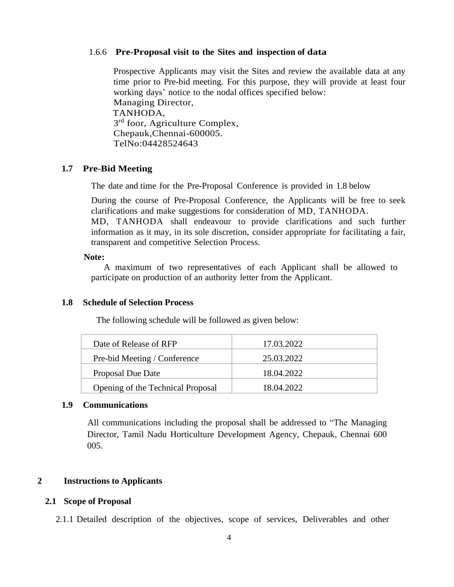#### 1.6.6 **Pre-Proposal visit to the Sites and inspection of data**

Prospective Applicants may visit the Sites and review the available data at any time prior to Pre-bid meeting. For this purpose, they will provide at least four working days' notice to the nodal offices specified below: Managing Director, TANHODA, 3<sup>rd</sup> foor, Agriculture Complex, Chepauk,Chennai-600005. TelNo:04428524643

#### **1.7 Pre-Bid Meeting**

The date and time for the Pre-Proposal Conference is provided in 1.8 below

During the course of Pre-Proposal Conference, the Applicants will be free to seek clarifications and make suggestions for consideration of MD, TANHODA. MD, TANHODA shall endeavour to provide clarifications and such further information as it may, in its sole discretion, consider appropriate for facilitating a fair, transparent and competitive Selection Process.

#### **Note:**

A maximum of two representatives of each Applicant shall be allowed to participate on production of an authority letter from the Applicant.

#### **1.8 Schedule of Selection Process**

The following schedule will be followed as given below:

| Date of Release of RFP            | 17.03.2022 |
|-----------------------------------|------------|
| Pre-bid Meeting / Conference      | 25.03.2022 |
| <b>Proposal Due Date</b>          | 18.04.2022 |
| Opening of the Technical Proposal | 18.04.2022 |

#### **1.9 Communications**

All communications including the proposal shall be addressed to "The Managing Director, Tamil Nadu Horticulture Development Agency, Chepauk, Chennai 600 005.

#### **2 Instructions to Applicants**

#### **2.1 Scope of Proposal**

2.1.1 Detailed description of the objectives, scope of services, Deliverables and other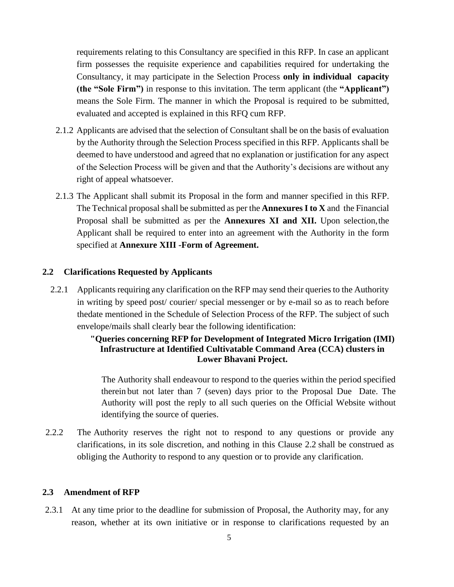requirements relating to this Consultancy are specified in this RFP. In case an applicant firm possesses the requisite experience and capabilities required for undertaking the Consultancy, it may participate in the Selection Process **only in individual capacity (the "Sole Firm")** in response to this invitation. The term applicant (the **"Applicant")** means the Sole Firm. The manner in which the Proposal is required to be submitted, evaluated and accepted is explained in this RFQ cum RFP.

- 2.1.2 Applicants are advised that the selection of Consultant shall be on the basis of evaluation by the Authority through the Selection Process specified in this RFP. Applicants shall be deemed to have understood and agreed that no explanation or justification for any aspect of the Selection Process will be given and that the Authority's decisions are without any right of appeal whatsoever.
- 2.1.3 The Applicant shall submit its Proposal in the form and manner specified in this RFP. The Technical proposal shall be submitted as per the **Annexures I to X** and the Financial Proposal shall be submitted as per the **Annexures XI and XII.** Upon selection,the Applicant shall be required to enter into an agreement with the Authority in the form specified at **Annexure XIII -Form of Agreement.**

#### <span id="page-8-0"></span>**2.2 Clarifications Requested by Applicants**

2.2.1 Applicants requiring any clarification on the RFP may send their queries to the Authority in writing by speed post/ courier/ special messenger or by e-mail so as to reach before thedate mentioned in the Schedule of Selection Process of the RFP. The subject of such envelope/mails shall clearly bear the following identification:

## **"Queries concerning RFP for Development of Integrated Micro Irrigation (IMI) Infrastructure at Identified Cultivatable Command Area (CCA) clusters in Lower Bhavani Project.**

The Authority shall endeavour to respond to the queries within the period specified therein but not later than 7 (seven) days prior to the Proposal Due Date. The Authority will post the reply to all such queries on the Official Website without identifying the source of queries.

2.2.2 The Authority reserves the right not to respond to any questions or provide any clarifications, in its sole discretion, and nothing in this Clause [2.2](#page-8-0) shall be construed as obliging the Authority to respond to any question or to provide any clarification.

#### **2.3 Amendment of RFP**

2.3.1 At any time prior to the deadline for submission of Proposal, the Authority may, for any reason, whether at its own initiative or in response to clarifications requested by an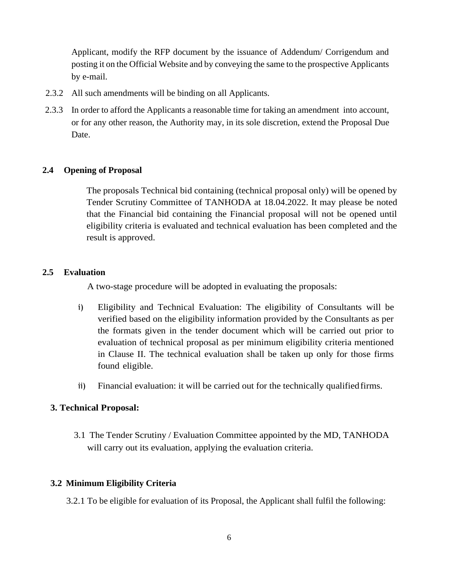Applicant, modify the RFP document by the issuance of Addendum/ Corrigendum and posting it on the Official Website and by conveying the same to the prospective Applicants by e-mail.

- 2.3.2 All such amendments will be binding on all Applicants.
- 2.3.3 In order to afford the Applicants a reasonable time for taking an amendment into account, or for any other reason, the Authority may, in its sole discretion, extend the Proposal Due Date.

#### **2.4 Opening of Proposal**

The proposals Technical bid containing (technical proposal only) will be opened by Tender Scrutiny Committee of TANHODA at 18.04.2022. It may please be noted that the Financial bid containing the Financial proposal will not be opened until eligibility criteria is evaluated and technical evaluation has been completed and the result is approved.

#### **2.5 Evaluation**

A two-stage procedure will be adopted in evaluating the proposals:

- i) Eligibility and Technical Evaluation: The eligibility of Consultants will be verified based on the eligibility information provided by the Consultants as per the formats given in the tender document which will be carried out prior to evaluation of technical proposal as per minimum eligibility criteria mentioned in Clause II. The technical evaluation shall be taken up only for those firms found eligible.
- ii) Financial evaluation: it will be carried out for the technically qualifiedfirms.

#### **3. Technical Proposal:**

3.1 The Tender Scrutiny / Evaluation Committee appointed by the MD, TANHODA will carry out its evaluation, applying the evaluation criteria.

#### **3.2 Minimum Eligibility Criteria**

<span id="page-9-0"></span>3.2.1 To be eligible for evaluation of its Proposal, the Applicant shall fulfil the following: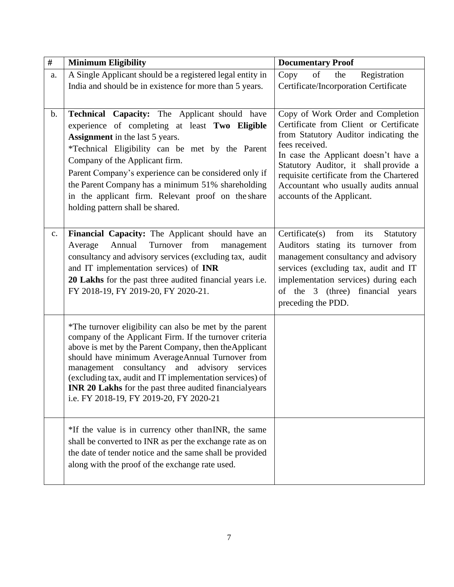| $\#$           | <b>Minimum Eligibility</b>                                                                                                                                                                                                                                                                                                                                                                                                                                | <b>Documentary Proof</b>                                                                                                                                                                                                                                                                                                                  |
|----------------|-----------------------------------------------------------------------------------------------------------------------------------------------------------------------------------------------------------------------------------------------------------------------------------------------------------------------------------------------------------------------------------------------------------------------------------------------------------|-------------------------------------------------------------------------------------------------------------------------------------------------------------------------------------------------------------------------------------------------------------------------------------------------------------------------------------------|
| a.             | A Single Applicant should be a registered legal entity in<br>India and should be in existence for more than 5 years.                                                                                                                                                                                                                                                                                                                                      | Copy<br>of<br>Registration<br>the<br>Certificate/Incorporation Certificate                                                                                                                                                                                                                                                                |
| $b$ .          | Technical Capacity: The Applicant should have<br>experience of completing at least Two Eligible<br><b>Assignment</b> in the last 5 years.<br>*Technical Eligibility can be met by the Parent<br>Company of the Applicant firm.<br>Parent Company's experience can be considered only if<br>the Parent Company has a minimum 51% shareholding<br>in the applicant firm. Relevant proof on the share<br>holding pattern shall be shared.                    | Copy of Work Order and Completion<br>Certificate from Client or Certificate<br>from Statutory Auditor indicating the<br>fees received.<br>In case the Applicant doesn't have a<br>Statutory Auditor, it shall provide a<br>requisite certificate from the Chartered<br>Accountant who usually audits annual<br>accounts of the Applicant. |
| $\mathbf{c}$ . | Financial Capacity: The Applicant should have an<br>Average<br>Annual<br>Turnover from<br>management<br>consultancy and advisory services (excluding tax, audit<br>and IT implementation services) of INR<br>20 Lakhs for the past three audited financial years i.e.<br>FY 2018-19, FY 2019-20, FY 2020-21.                                                                                                                                              | $\text{Certificance}(s)$<br>from<br>its<br>Statutory<br>Auditors stating its turnover from<br>management consultancy and advisory<br>services (excluding tax, audit and IT<br>implementation services) during each<br>of the 3 (three) financial years<br>preceding the PDD.                                                              |
|                | *The turnover eligibility can also be met by the parent<br>company of the Applicant Firm. If the turnover criteria<br>above is met by the Parent Company, then the Applicant<br>should have minimum AverageAnnual Turnover from<br>consultancy and<br>management<br>advisory<br>services<br>(excluding tax, audit and IT implementation services) of<br>INR 20 Lakhs for the past three audited financialyears<br>i.e. FY 2018-19, FY 2019-20, FY 2020-21 |                                                                                                                                                                                                                                                                                                                                           |
|                | *If the value is in currency other than INR, the same<br>shall be converted to INR as per the exchange rate as on<br>the date of tender notice and the same shall be provided<br>along with the proof of the exchange rate used.                                                                                                                                                                                                                          |                                                                                                                                                                                                                                                                                                                                           |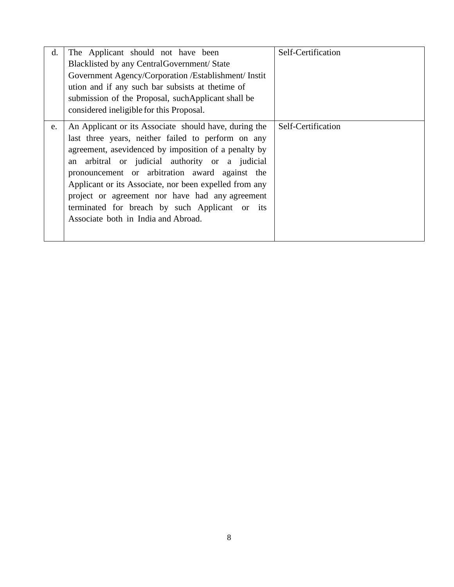<span id="page-11-0"></span>

| d. | The Applicant should not have been<br>Blacklisted by any Central Government/ State<br>Government Agency/Corporation /Establishment/ Instit<br>ution and if any such bar subsists at the time of<br>submission of the Proposal, such Applicant shall be<br>considered ineligible for this Proposal.                                                                                                                                                                             | Self-Certification |
|----|--------------------------------------------------------------------------------------------------------------------------------------------------------------------------------------------------------------------------------------------------------------------------------------------------------------------------------------------------------------------------------------------------------------------------------------------------------------------------------|--------------------|
| e. | An Applicant or its Associate should have, during the<br>last three years, neither failed to perform on any<br>agreement, asevidenced by imposition of a penalty by<br>an arbitral or judicial authority or a judicial<br>pronouncement or arbitration award against the<br>Applicant or its Associate, nor been expelled from any<br>project or agreement nor have had any agreement<br>terminated for breach by such Applicant or its<br>Associate both in India and Abroad. | Self-Certification |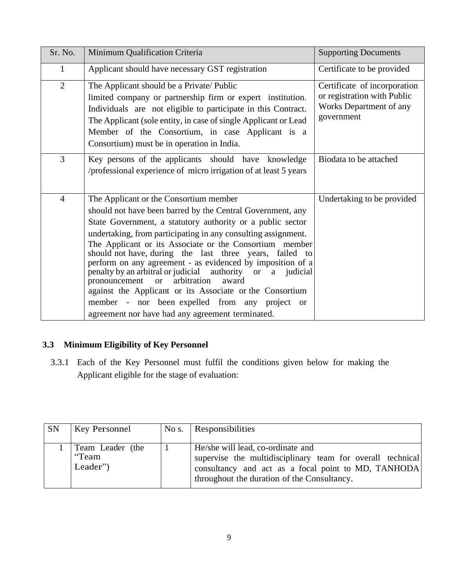| Sr. No.        | Minimum Qualification Criteria                                                                                                                                                                                                                                                                                                                                                                                                                                                                                                                                                                                                                                                                                    | <b>Supporting Documents</b>                                                                          |
|----------------|-------------------------------------------------------------------------------------------------------------------------------------------------------------------------------------------------------------------------------------------------------------------------------------------------------------------------------------------------------------------------------------------------------------------------------------------------------------------------------------------------------------------------------------------------------------------------------------------------------------------------------------------------------------------------------------------------------------------|------------------------------------------------------------------------------------------------------|
| $\mathbf{1}$   | Applicant should have necessary GST registration                                                                                                                                                                                                                                                                                                                                                                                                                                                                                                                                                                                                                                                                  | Certificate to be provided                                                                           |
| $\overline{2}$ | The Applicant should be a Private/ Public<br>limited company or partnership firm or expert institution.<br>Individuals are not eligible to participate in this Contract.<br>The Applicant (sole entity, in case of single Applicant or Lead<br>Member of the Consortium, in case Applicant is a<br>Consortium) must be in operation in India.                                                                                                                                                                                                                                                                                                                                                                     | Certificate of incorporation<br>or registration with Public<br>Works Department of any<br>government |
| 3              | Key persons of the applicants should have knowledge<br>/professional experience of micro irrigation of at least 5 years                                                                                                                                                                                                                                                                                                                                                                                                                                                                                                                                                                                           | Biodata to be attached                                                                               |
| $\overline{4}$ | The Applicant or the Consortium member<br>should not have been barred by the Central Government, any<br>State Government, a statutory authority or a public sector<br>undertaking, from participating in any consulting assignment.<br>The Applicant or its Associate or the Consortium member<br>should not have, during the last three years, failed to<br>perform on any agreement - as evidenced by imposition of a<br>penalty by an arbitral or judicial authority or a judicial<br>arbitration<br>award<br>pronouncement<br><sub>or</sub><br>against the Applicant or its Associate or the Consortium<br>member - nor been expelled from any project or<br>agreement nor have had any agreement terminated. | Undertaking to be provided                                                                           |

# **3.3 Minimum Eligibility of Key Personnel**

3.3.1 Each of the Key Personnel must fulfil the conditions given below for making the Applicant eligible for the stage of evaluation:

| <b>SN</b> | <b>Key Personnel</b>                  | No s. | Responsibilities                                                                                                                                                                                      |
|-----------|---------------------------------------|-------|-------------------------------------------------------------------------------------------------------------------------------------------------------------------------------------------------------|
|           | Team Leader (the<br>"Team<br>Leader") |       | He/she will lead, co-ordinate and<br>supervise the multidisciplinary team for overall technical<br>consultancy and act as a focal point to MD, TANHODA<br>throughout the duration of the Consultancy. |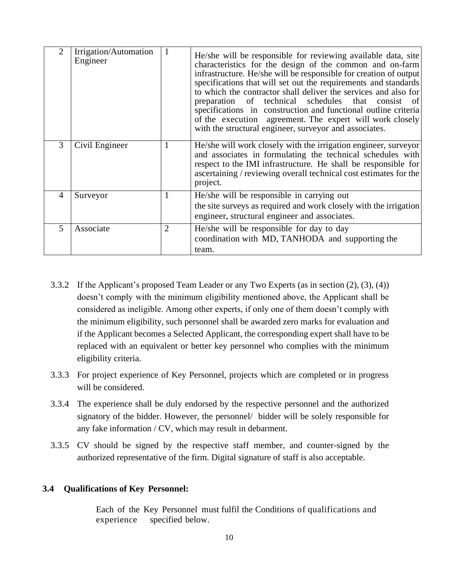| 2 | Irrigation/Automation<br>Engineer | 1 | He/she will be responsible for reviewing available data, site<br>characteristics for the design of the common and on-farm<br>infrastructure. He/she will be responsible for creation of output<br>specifications that will set out the requirements and standards<br>to which the contractor shall deliver the services and also for<br>preparation of technical schedules that<br>consist<br>- of l<br>specifications in construction and functional outline criteria<br>of the execution agreement. The expert will work closely<br>with the structural engineer, surveyor and associates. |
|---|-----------------------------------|---|----------------------------------------------------------------------------------------------------------------------------------------------------------------------------------------------------------------------------------------------------------------------------------------------------------------------------------------------------------------------------------------------------------------------------------------------------------------------------------------------------------------------------------------------------------------------------------------------|
| 3 | Civil Engineer                    | 1 | He/she will work closely with the irrigation engineer, surveyor<br>and associates in formulating the technical schedules with<br>respect to the IMI infrastructure. He shall be responsible for<br>ascertaining / reviewing overall technical cost estimates for the<br>project.                                                                                                                                                                                                                                                                                                             |
| 4 | Surveyor                          | 1 | He/she will be responsible in carrying out<br>the site surveys as required and work closely with the irrigation<br>engineer, structural engineer and associates.                                                                                                                                                                                                                                                                                                                                                                                                                             |
| 5 | Associate                         | 2 | He/she will be responsible for day to day<br>coordination with MD, TANHODA and supporting the<br>team.                                                                                                                                                                                                                                                                                                                                                                                                                                                                                       |

- 3.3.2 If the Applicant's proposed Team Leader or any Two Experts (as in section (2), (3), (4)) doesn't comply with the minimum eligibility mentioned above, the Applicant shall be considered as ineligible. Among other experts, if only one of them doesn't comply with the minimum eligibility, such personnel shall be awarded zero marks for evaluation and if the Applicant becomes a Selected Applicant, the corresponding expert shall have to be replaced with an equivalent or better key personnel who complies with the minimum eligibility criteria.
- 3.3.3 For project experience of Key Personnel, projects which are completed or in progress will be considered.
- 3.3.4 The experience shall be duly endorsed by the respective personnel and the authorized signatory of the bidder. However, the personnel/ bidder will be solely responsible for any fake information / CV, which may result in debarment.
- 3.3.5 CV should be signed by the respective staff member, and counter-signed by the authorized representative of the firm. Digital signature of staff is also acceptable.

## **3.4 Qualifications of Key Personnel:**

Each of the Key Personnel must fulfil the Conditions of qualifications and experience specified below.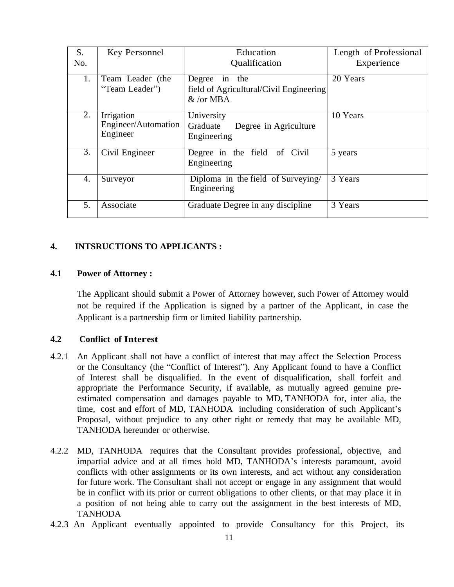| S.  | Key Personnel                                 | Education                                                                           | Length of Professional |
|-----|-----------------------------------------------|-------------------------------------------------------------------------------------|------------------------|
| No. |                                               | Qualification                                                                       | Experience             |
| 1.  | Team Leader (the<br>"Team Leader")            | Degree in the<br>field of Agricultural/Civil Engineering<br>$&\sqrt{\text{or MBA}}$ | 20 Years               |
| 2.  | Irrigation<br>Engineer/Automation<br>Engineer | University<br>Graduate<br>Degree in Agriculture<br>Engineering                      | 10 Years               |
| 3.  | Civil Engineer                                | Degree in the field of Civil<br>Engineering                                         | 5 years                |
| 4.  | Surveyor                                      | Diploma in the field of Surveying/<br>Engineering                                   | 3 Years                |
| 5.  | Associate                                     | Graduate Degree in any discipline                                                   | 3 Years                |

#### **4. INTSRUCTIONS TO APPLICANTS :**

### **4.1 Power of Attorney :**

The Applicant should submit a Power of Attorney however, such Power of Attorney would not be required if the Application is signed by a partner of the Applicant, in case the Applicant is a partnership firm or limited liability partnership.

#### **4.2 Conflict of Interest**

- 4.2.1 An Applicant shall not have a conflict of interest that may affect the Selection Process or the Consultancy (the "Conflict of Interest"). Any Applicant found to have a Conflict of Interest shall be disqualified. In the event of disqualification, shall forfeit and appropriate the Performance Security, if available, as mutually agreed genuine preestimated compensation and damages payable to MD, TANHODA for, inter alia, the time, cost and effort of MD, TANHODA including consideration of such Applicant's Proposal, without prejudice to any other right or remedy that may be available MD, TANHODA hereunder or otherwise.
- 4.2.2 MD, TANHODA requires that the Consultant provides professional, objective, and impartial advice and at all times hold MD, TANHODA's interests paramount, avoid conflicts with other assignments or its own interests, and act without any consideration for future work. The Consultant shall not accept or engage in any assignment that would be in conflict with its prior or current obligations to other clients, or that may place it in a position of not being able to carry out the assignment in the best interests of MD, TANHODA
- 4.2.3 An Applicant eventually appointed to provide Consultancy for this Project, its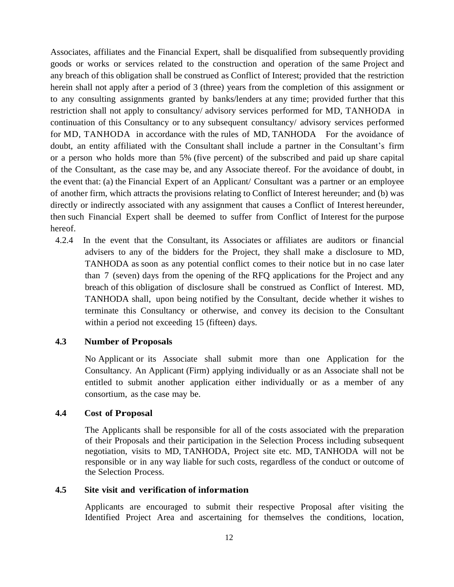Associates, affiliates and the Financial Expert, shall be disqualified from subsequently providing goods or works or services related to the construction and operation of the same Project and any breach of this obligation shall be construed as Conflict of Interest; provided that the restriction herein shall not apply after a period of 3 (three) years from the completion of this assignment or to any consulting assignments granted by banks/lenders at any time; provided further that this restriction shall not apply to consultancy/ advisory services performed for MD, TANHODA in continuation of this Consultancy or to any subsequent consultancy/ advisory services performed for MD, TANHODA in accordance with the rules of MD, TANHODA For the avoidance of doubt, an entity affiliated with the Consultant shall include a partner in the Consultant's firm or a person who holds more than 5% (five percent) of the subscribed and paid up share capital of the Consultant, as the case may be, and any Associate thereof. For the avoidance of doubt, in the event that: (a) the Financial Expert of an Applicant/ Consultant was a partner or an employee of another firm, which attracts the provisions relating to Conflict of Interest hereunder; and (b) was directly or indirectly associated with any assignment that causes a Conflict of Interest hereunder, then such Financial Expert shall be deemed to suffer from Conflict of Interest for the purpose hereof.

4.2.4 In the event that the Consultant, its Associates or affiliates are auditors or financial advisers to any of the bidders for the Project, they shall make a disclosure to MD, TANHODA as soon as any potential conflict comes to their notice but in no case later than 7 (seven) days from the opening of the RFQ applications for the Project and any breach of this obligation of disclosure shall be construed as Conflict of Interest. MD, TANHODA shall, upon being notified by the Consultant, decide whether it wishes to terminate this Consultancy or otherwise, and convey its decision to the Consultant within a period not exceeding 15 (fifteen) days.

#### **4.3 Number of Proposals**

No Applicant or its Associate shall submit more than one Application for the Consultancy. An Applicant (Firm) applying individually or as an Associate shall not be entitled to submit another application either individually or as a member of any consortium, as the case may be.

#### **4.4 Cost of Proposal**

The Applicants shall be responsible for all of the costs associated with the preparation of their Proposals and their participation in the Selection Process including subsequent negotiation, visits to MD, TANHODA, Project site etc. MD, TANHODA will not be responsible or in any way liable for such costs, regardless of the conduct or outcome of the Selection Process.

#### **4.5 Site visit and verification of information**

Applicants are encouraged to submit their respective Proposal after visiting the Identified Project Area and ascertaining for themselves the conditions, location,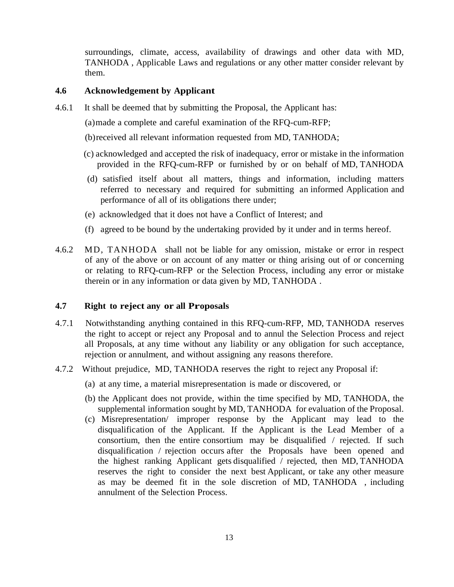surroundings, climate, access, availability of drawings and other data with MD, TANHODA , Applicable Laws and regulations or any other matter consider relevant by them.

## **4.6 Acknowledgement by Applicant**

- 4.6.1 It shall be deemed that by submitting the Proposal, the Applicant has:
	- (a)made a complete and careful examination of the RFQ-cum-RFP;
	- (b)received all relevant information requested from MD, TANHODA;
	- (c) acknowledged and accepted the risk of inadequacy, error or mistake in the information provided in the RFQ-cum-RFP or furnished by or on behalf of MD, TANHODA
	- (d) satisfied itself about all matters, things and information, including matters referred to necessary and required for submitting an informed Application and performance of all of its obligations there under;
	- (e) acknowledged that it does not have a Conflict of Interest; and
	- (f) agreed to be bound by the undertaking provided by it under and in terms hereof.
- 4.6.2 MD, TANHODA shall not be liable for any omission, mistake or error in respect of any of the above or on account of any matter or thing arising out of or concerning or relating to RFQ-cum-RFP or the Selection Process, including any error or mistake therein or in any information or data given by MD, TANHODA .

#### **4.7 Right to reject any or all Proposals**

- 4.7.1 Notwithstanding anything contained in this RFQ-cum-RFP, MD, TANHODA reserves the right to accept or reject any Proposal and to annul the Selection Process and reject all Proposals, at any time without any liability or any obligation for such acceptance, rejection or annulment, and without assigning any reasons therefore.
- 4.7.2 Without prejudice, MD, TANHODA reserves the right to reject any Proposal if:
	- (a) at any time, a material misrepresentation is made or discovered, or
	- (b) the Applicant does not provide, within the time specified by MD, TANHODA, the supplemental information sought by MD, TANHODA for evaluation of the Proposal.
	- (c) Misrepresentation/ improper response by the Applicant may lead to the disqualification of the Applicant. If the Applicant is the Lead Member of a consortium, then the entire consortium may be disqualified / rejected. If such disqualification / rejection occurs after the Proposals have been opened and the highest ranking Applicant gets disqualified / rejected, then MD, TANHODA reserves the right to consider the next best Applicant, or take any other measure as may be deemed fit in the sole discretion of MD, TANHODA , including annulment of the Selection Process.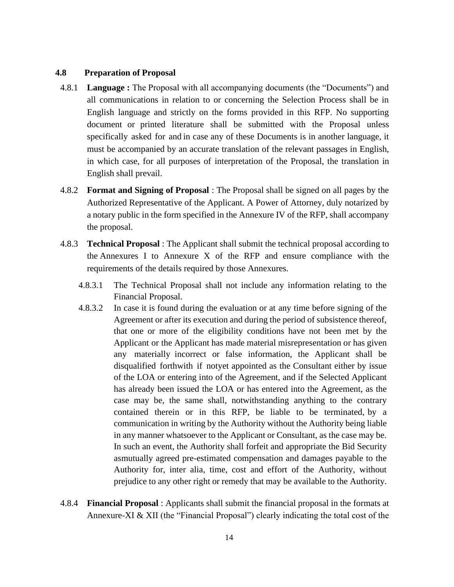### **4.8 Preparation of Proposal**

- 4.8.1 **Language :** The Proposal with all accompanying documents (the "Documents") and all communications in relation to or concerning the Selection Process shall be in English language and strictly on the forms provided in this RFP. No supporting document or printed literature shall be submitted with the Proposal unless specifically asked for and in case any of these Documents is in another language, it must be accompanied by an accurate translation of the relevant passages in English, in which case, for all purposes of interpretation of the Proposal, the translation in English shall prevail.
- 4.8.2 **Format and Signing of Proposal** : The Proposal shall be signed on all pages by the Authorized Representative of the Applicant. A Power of Attorney, duly notarized by a notary public in the form specified in the Annexure IV of the RFP, shall accompany the proposal.
- 4.8.3 **Technical Proposal** : The Applicant shall submit the technical proposal according to the Annexures I to Annexure X of the RFP and ensure compliance with the requirements of the details required by those Annexures.
	- 4.8.3.1 The Technical Proposal shall not include any information relating to the Financial Proposal.
	- 4.8.3.2 In case it is found during the evaluation or at any time before signing of the Agreement or after its execution and during the period of subsistence thereof, that one or more of the eligibility conditions have not been met by the Applicant or the Applicant has made material misrepresentation or has given any materially incorrect or false information, the Applicant shall be disqualified forthwith if notyet appointed as the Consultant either by issue of the LOA or entering into of the Agreement, and if the Selected Applicant has already been issued the LOA or has entered into the Agreement, as the case may be, the same shall, notwithstanding anything to the contrary contained therein or in this RFP, be liable to be terminated, by a communication in writing by the Authority without the Authority being liable in any manner whatsoever to the Applicant or Consultant, as the case may be. In such an event, the Authority shall forfeit and appropriate the Bid Security asmutually agreed pre-estimated compensation and damages payable to the Authority for, inter alia, time, cost and effort of the Authority, without prejudice to any other right or remedy that may be available to the Authority.
- 4.8.4 **Financial Proposal** : Applicants shall submit the financial proposal in the formats at Annexure-XI & XII (the "Financial Proposal") clearly indicating the total cost of the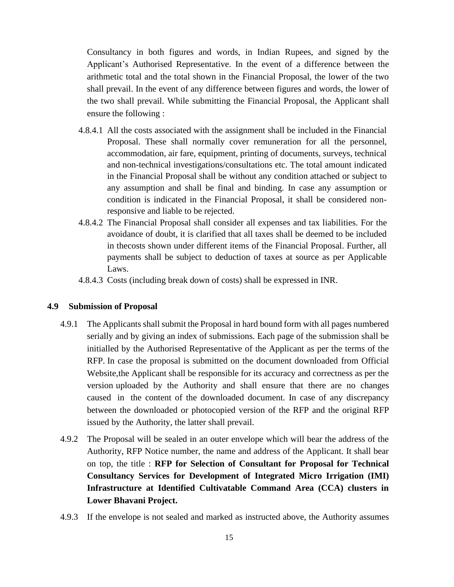Consultancy in both figures and words, in Indian Rupees, and signed by the Applicant's Authorised Representative. In the event of a difference between the arithmetic total and the total shown in the Financial Proposal, the lower of the two shall prevail. In the event of any difference between figures and words, the lower of the two shall prevail. While submitting the Financial Proposal, the Applicant shall ensure the following :

- 4.8.4.1 All the costs associated with the assignment shall be included in the Financial Proposal. These shall normally cover remuneration for all the personnel, accommodation, air fare, equipment, printing of documents, surveys, technical and non-technical investigations/consultations etc. The total amount indicated in the Financial Proposal shall be without any condition attached or subject to any assumption and shall be final and binding. In case any assumption or condition is indicated in the Financial Proposal, it shall be considered nonresponsive and liable to be rejected.
- 4.8.4.2 The Financial Proposal shall consider all expenses and tax liabilities. For the avoidance of doubt, it is clarified that all taxes shall be deemed to be included in thecosts shown under different items of the Financial Proposal. Further, all payments shall be subject to deduction of taxes at source as per Applicable Laws.
- 4.8.4.3 Costs (including break down of costs) shall be expressed in INR.

#### **4.9 Submission of Proposal**

- 4.9.1 The Applicants shall submit the Proposal in hard bound form with all pages numbered serially and by giving an index of submissions. Each page of the submission shall be initialled by the Authorised Representative of the Applicant as per the terms of the RFP. In case the proposal is submitted on the document downloaded from Official Website,the Applicant shall be responsible for its accuracy and correctness as per the version uploaded by the Authority and shall ensure that there are no changes caused in the content of the downloaded document. In case of any discrepancy between the downloaded or photocopied version of the RFP and the original RFP issued by the Authority, the latter shall prevail.
- 4.9.2 The Proposal will be sealed in an outer envelope which will bear the address of the Authority, RFP Notice number, the name and address of the Applicant. It shall bear on top, the title : **RFP for Selection of Consultant for Proposal for Technical Consultancy Services for Development of Integrated Micro Irrigation (IMI) Infrastructure at Identified Cultivatable Command Area (CCA) clusters in Lower Bhavani Project.**
- 4.9.3 If the envelope is not sealed and marked as instructed above, the Authority assumes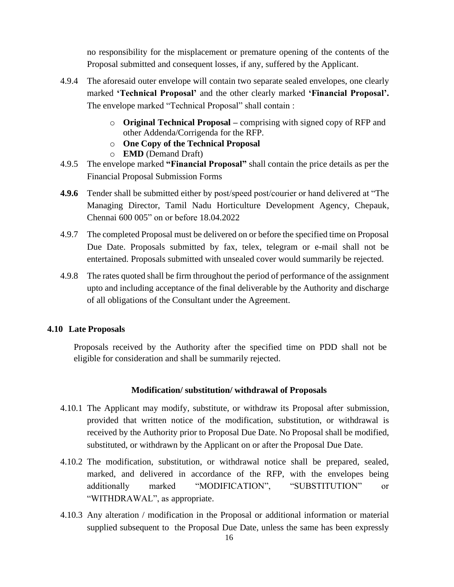no responsibility for the misplacement or premature opening of the contents of the Proposal submitted and consequent losses, if any, suffered by the Applicant.

- 4.9.4 The aforesaid outer envelope will contain two separate sealed envelopes, one clearly marked **'Technical Proposal'** and the other clearly marked **'Financial Proposal'.**  The envelope marked "Technical Proposal" shall contain :
	- o **Original Technical Proposal –** comprising with signed copy of RFP and other Addenda/Corrigenda for the RFP.
	- o **One Copy of the Technical Proposal**
	- o **EMD** (Demand Draft)
- 4.9.5 The envelope marked **"Financial Proposal"** shall contain the price details as per the Financial Proposal Submission Forms
- **4.9.6** Tender shall be submitted either by post/speed post/courier or hand delivered at "The Managing Director, Tamil Nadu Horticulture Development Agency, Chepauk, Chennai 600 005" on or before 18.04.2022
- 4.9.7 The completed Proposal must be delivered on or before the specified time on Proposal Due Date. Proposals submitted by fax, telex, telegram or e-mail shall not be entertained. Proposals submitted with unsealed cover would summarily be rejected.
- 4.9.8 The rates quoted shall be firm throughout the period of performance of the assignment upto and including acceptance of the final deliverable by the Authority and discharge of all obligations of the Consultant under the Agreement.

#### **4.10 Late Proposals**

Proposals received by the Authority after the specified time on PDD shall not be eligible for consideration and shall be summarily rejected.

#### **Modification/ substitution/ withdrawal of Proposals**

- 4.10.1 The Applicant may modify, substitute, or withdraw its Proposal after submission, provided that written notice of the modification, substitution, or withdrawal is received by the Authority prior to Proposal Due Date. No Proposal shall be modified, substituted, or withdrawn by the Applicant on or after the Proposal Due Date.
- 4.10.2 The modification, substitution, or withdrawal notice shall be prepared, sealed, marked, and delivered in accordance of the RFP, with the envelopes being additionally marked "MODIFICATION", "SUBSTITUTION" or "WITHDRAWAL", as appropriate.
- 4.10.3 Any alteration / modification in the Proposal or additional information or material supplied subsequent to the Proposal Due Date, unless the same has been expressly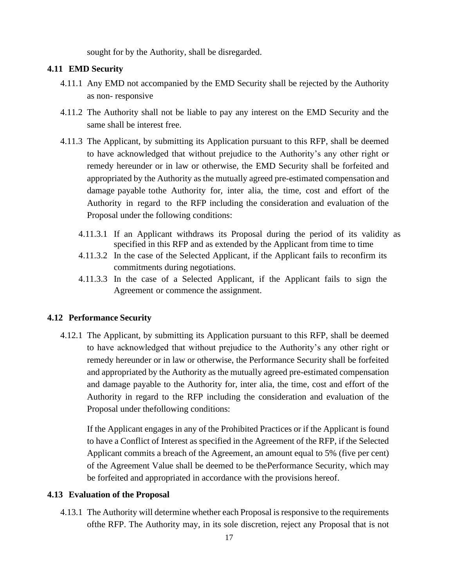sought for by the Authority, shall be disregarded.

#### **4.11 EMD Security**

- 4.11.1 Any EMD not accompanied by the EMD Security shall be rejected by the Authority as non- responsive
- 4.11.2 The Authority shall not be liable to pay any interest on the EMD Security and the same shall be interest free.
- 4.11.3 The Applicant, by submitting its Application pursuant to this RFP, shall be deemed to have acknowledged that without prejudice to the Authority's any other right or remedy hereunder or in law or otherwise, the EMD Security shall be forfeited and appropriated by the Authority as the mutually agreed pre-estimated compensation and damage payable tothe Authority for, inter alia, the time, cost and effort of the Authority in regard to the RFP including the consideration and evaluation of the Proposal under the following conditions:
	- 4.11.3.1 If an Applicant withdraws its Proposal during the period of its validity as specified in this RFP and as extended by the Applicant from time to time
	- 4.11.3.2 In the case of the Selected Applicant, if the Applicant fails to reconfirm its commitments during negotiations.
	- 4.11.3.3 In the case of a Selected Applicant, if the Applicant fails to sign the Agreement or commence the assignment.

#### **4.12 Performance Security**

4.12.1 The Applicant, by submitting its Application pursuant to this RFP, shall be deemed to have acknowledged that without prejudice to the Authority's any other right or remedy hereunder or in law or otherwise, the Performance Security shall be forfeited and appropriated by the Authority as the mutually agreed pre-estimated compensation and damage payable to the Authority for, inter alia, the time, cost and effort of the Authority in regard to the RFP including the consideration and evaluation of the Proposal under thefollowing conditions:

If the Applicant engages in any of the Prohibited Practices or if the Applicant is found to have a Conflict of Interest as specified in the Agreement of the RFP, if the Selected Applicant commits a breach of the Agreement, an amount equal to 5% (five per cent) of the Agreement Value shall be deemed to be thePerformance Security, which may be forfeited and appropriated in accordance with the provisions hereof.

#### **4.13 Evaluation of the Proposal**

4.13.1 The Authority will determine whether each Proposal is responsive to the requirements ofthe RFP. The Authority may, in its sole discretion, reject any Proposal that is not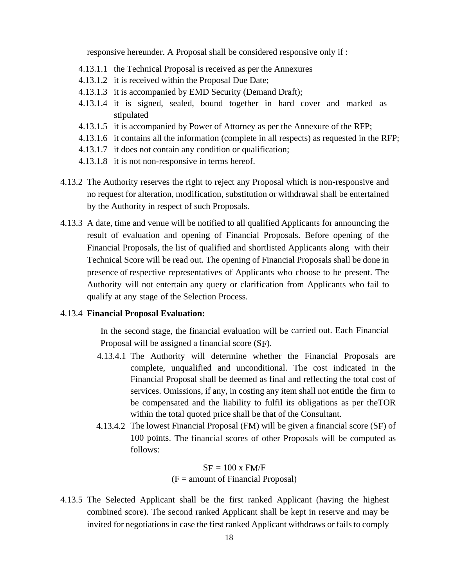responsive hereunder. A Proposal shall be considered responsive only if :

- 4.13.1.1 the Technical Proposal is received as per the Annexures
- 4.13.1.2 it is received within the Proposal Due Date;
- 4.13.1.3 it is accompanied by EMD Security (Demand Draft);
- 4.13.1.4 it is signed, sealed, bound together in hard cover and marked as stipulated
- 4.13.1.5 it is accompanied by Power of Attorney as per the Annexure of the RFP;
- 4.13.1.6 it contains all the information (complete in all respects) as requested in the RFP;
- 4.13.1.7 it does not contain any condition or qualification;
- 4.13.1.8 it is not non-responsive in terms hereof.
- 4.13.2 The Authority reserves the right to reject any Proposal which is non-responsive and no request for alteration, modification, substitution or withdrawal shall be entertained by the Authority in respect of such Proposals.
- 4.13.3 A date, time and venue will be notified to all qualified Applicants for announcing the result of evaluation and opening of Financial Proposals. Before opening of the Financial Proposals, the list of qualified and shortlisted Applicants along with their Technical Score will be read out. The opening of Financial Proposals shall be done in presence of respective representatives of Applicants who choose to be present. The Authority will not entertain any query or clarification from Applicants who fail to qualify at any stage of the Selection Process.

#### 4.13.4 **Financial Proposal Evaluation:**

In the second stage, the financial evaluation will be carried out. Each Financial Proposal will be assigned a financial score (SF).

- 4.13.4.1 The Authority will determine whether the Financial Proposals are complete, unqualified and unconditional. The cost indicated in the Financial Proposal shall be deemed as final and reflecting the total cost of services. Omissions, if any, in costing any item shall not entitle the firm to be compensated and the liability to fulfil its obligations as per theTOR within the total quoted price shall be that of the Consultant.
- 4.13.4.2 The lowest Financial Proposal (FM) will be given a financial score (SF) of 100 points. The financial scores of other Proposals will be computed as follows:

 $SF = 100 \times FM/F$  $(F = amount of Financial Proposal)$ 

4.13.5 The Selected Applicant shall be the first ranked Applicant (having the highest combined score). The second ranked Applicant shall be kept in reserve and may be invited for negotiations in case the first ranked Applicant withdraws or fails to comply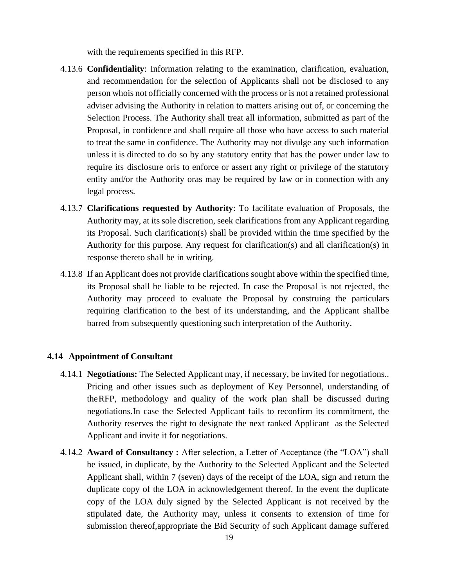with the requirements specified in this RFP.

- 4.13.6 **Confidentiality**: Information relating to the examination, clarification, evaluation, and recommendation for the selection of Applicants shall not be disclosed to any person whois not officially concerned with the process or is not a retained professional adviser advising the Authority in relation to matters arising out of, or concerning the Selection Process. The Authority shall treat all information, submitted as part of the Proposal, in confidence and shall require all those who have access to such material to treat the same in confidence. The Authority may not divulge any such information unless it is directed to do so by any statutory entity that has the power under law to require its disclosure oris to enforce or assert any right or privilege of the statutory entity and/or the Authority oras may be required by law or in connection with any legal process.
- 4.13.7 **Clarifications requested by Authority**: To facilitate evaluation of Proposals, the Authority may, at its sole discretion, seek clarifications from any Applicant regarding its Proposal. Such clarification(s) shall be provided within the time specified by the Authority for this purpose. Any request for clarification(s) and all clarification(s) in response thereto shall be in writing.
- 4.13.8 If an Applicant does not provide clarifications sought above within the specified time, its Proposal shall be liable to be rejected. In case the Proposal is not rejected, the Authority may proceed to evaluate the Proposal by construing the particulars requiring clarification to the best of its understanding, and the Applicant shallbe barred from subsequently questioning such interpretation of the Authority.

#### **4.14 Appointment of Consultant**

- <span id="page-22-0"></span>4.14.1 **Negotiations:** The Selected Applicant may, if necessary, be invited for negotiations.. Pricing and other issues such as deployment of Key Personnel, understanding of theRFP, methodology and quality of the work plan shall be discussed during negotiations.In case the Selected Applicant fails to reconfirm its commitment, the Authority reserves the right to designate the next ranked Applicant as the Selected Applicant and invite it for negotiations.
- 4.14.2 **Award of Consultancy :** After selection, a Letter of Acceptance (the "LOA") shall be issued, in duplicate, by the Authority to the Selected Applicant and the Selected Applicant shall, within 7 (seven) days of the receipt of the LOA, sign and return the duplicate copy of the LOA in acknowledgement thereof. In the event the duplicate copy of the LOA duly signed by the Selected Applicant is not received by the stipulated date, the Authority may, unless it consents to extension of time for submission thereof,appropriate the Bid Security of such Applicant damage suffered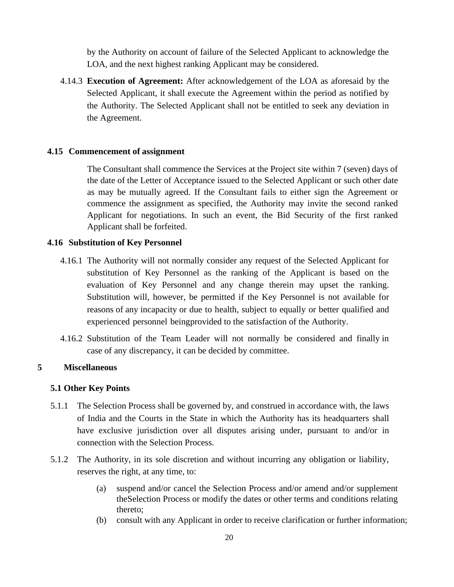by the Authority on account of failure of the Selected Applicant to acknowledge the LOA, and the next highest ranking Applicant may be considered.

4.14.3 **Execution of Agreement:** After acknowledgement of the LOA as aforesaid by the Selected Applicant, it shall execute the Agreement within the period as notified by the Authority. The Selected Applicant shall not be entitled to seek any deviation in the Agreement.

#### **4.15 Commencement of assignment**

The Consultant shall commence the Services at the Project site within 7 (seven) days of the date of the Letter of Acceptance issued to the Selected Applicant or such other date as may be mutually agreed. If the Consultant fails to either sign the Agreement or commence the assignment as specified, the Authority may invite the second ranked Applicant for negotiations. In such an event, the Bid Security of the first ranked Applicant shall be forfeited.

#### **4.16 Substitution of Key Personnel**

- 4.16.1 The Authority will not normally consider any request of the Selected Applicant for substitution of Key Personnel as the ranking of the Applicant is based on the evaluation of Key Personnel and any change therein may upset the ranking. Substitution will, however, be permitted if the Key Personnel is not available for reasons of any incapacity or due to health, subject to equally or better qualified and experienced personnel beingprovided to the satisfaction of the Authority.
- 4.16.2 Substitution of the Team Leader will not normally be considered and finally in case of any discrepancy, it can be decided by committee.

### **5 Miscellaneous**

#### **5.1 Other Key Points**

- 5.1.1 The Selection Process shall be governed by, and construed in accordance with, the laws of India and the Courts in the State in which the Authority has its headquarters shall have exclusive jurisdiction over all disputes arising under, pursuant to and/or in connection with the Selection Process.
- <span id="page-23-0"></span>5.1.2 The Authority, in its sole discretion and without incurring any obligation or liability, reserves the right, at any time, to:
	- (a) suspend and/or cancel the Selection Process and/or amend and/or supplement theSelection Process or modify the dates or other terms and conditions relating thereto;
	- (b) consult with any Applicant in order to receive clarification or further information;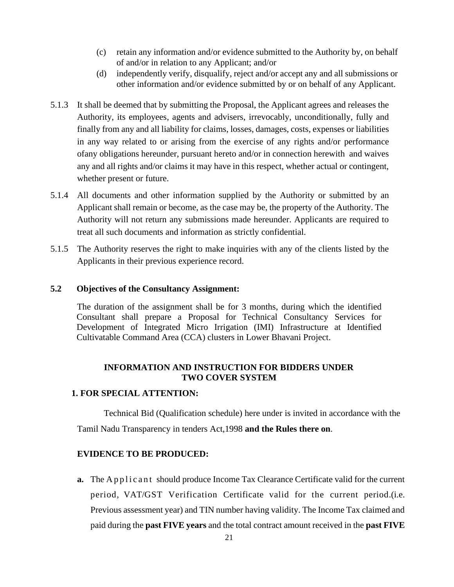- (c) retain any information and/or evidence submitted to the Authority by, on behalf of and/or in relation to any Applicant; and/or
- (d) independently verify, disqualify, reject and/or accept any and all submissions or other information and/or evidence submitted by or on behalf of any Applicant.
- 5.1.3 It shall be deemed that by submitting the Proposal, the Applicant agrees and releases the Authority, its employees, agents and advisers, irrevocably, unconditionally, fully and finally from any and all liability for claims, losses, damages, costs, expenses or liabilities in any way related to or arising from the exercise of any rights and/or performance ofany obligations hereunder, pursuant hereto and/or in connection herewith and waives any and all rights and/or claims it may have in this respect, whether actual or contingent, whether present or future.
- 5.1.4 All documents and other information supplied by the Authority or submitted by an Applicant shall remain or become, as the case may be, the property of the Authority. The Authority will not return any submissions made hereunder. Applicants are required to treat all such documents and information as strictly confidential.
- 5.1.5 The Authority reserves the right to make inquiries with any of the clients listed by the Applicants in their previous experience record.

## **5.2 Objectives of the Consultancy Assignment:**

The duration of the assignment shall be for 3 months, during which the identified Consultant shall prepare a Proposal for Technical Consultancy Services for Development of Integrated Micro Irrigation (IMI) Infrastructure at Identified Cultivatable Command Area (CCA) clusters in Lower Bhavani Project.

## **INFORMATION AND INSTRUCTION FOR BIDDERS UNDER TWO COVER SYSTEM**

#### **1. FOR SPECIAL ATTENTION:**

Technical Bid (Qualification schedule) here under is invited in accordance with the Tamil Nadu Transparency in tenders Act,1998 **and the Rules there on**.

## **EVIDENCE TO BE PRODUCED:**

**a.** The Applicant should produce Income Tax Clearance Certificate valid for the current period, VAT/GST Verification Certificate valid for the current period.(i.e. Previous assessment year) and TIN number having validity. The Income Tax claimed and paid during the **past FIVE years** and the total contract amount received in the **past FIVE**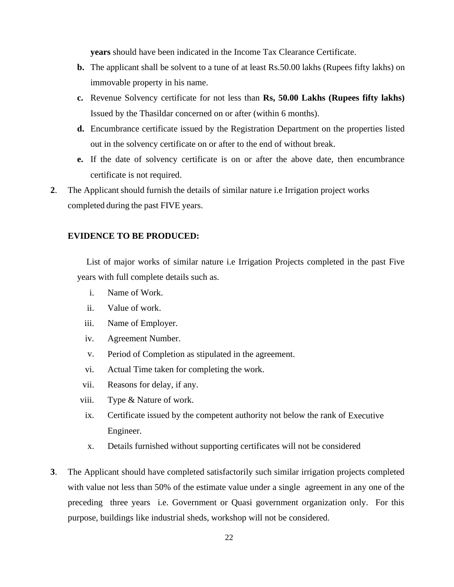**years** should have been indicated in the Income Tax Clearance Certificate.

- **b.** The applicant shall be solvent to a tune of at least Rs.50.00 lakhs (Rupees fifty lakhs) on immovable property in his name.
- **c.** Revenue Solvency certificate for not less than **Rs, 50.00 Lakhs (Rupees fifty lakhs)** Issued by the Thasildar concerned on or after (within 6 months).
- **d.** Encumbrance certificate issued by the Registration Department on the properties listed out in the solvency certificate on or after to the end of without break.
- **e.** If the date of solvency certificate is on or after the above date, then encumbrance certificate is not required.
- **2**. The Applicant should furnish the details of similar nature i.e Irrigation project works completed during the past FIVE years.

#### **EVIDENCE TO BE PRODUCED:**

List of major works of similar nature i.e Irrigation Projects completed in the past Five years with full complete details such as.

- i. Name of Work.
- ii. Value of work.
- iii. Name of Employer.
- iv. Agreement Number.
- v. Period of Completion as stipulated in the agreement.
- vi. Actual Time taken for completing the work.
- vii. Reasons for delay, if any.
- viii. Type & Nature of work.
- ix. Certificate issued by the competent authority not below the rank of Executive Engineer.
- x. Details furnished without supporting certificates will not be considered
- **3**. The Applicant should have completed satisfactorily such similar irrigation projects completed with value not less than 50% of the estimate value under a single agreement in any one of the preceding three years i.e. Government or Quasi government organization only. For this purpose, buildings like industrial sheds, workshop will not be considered.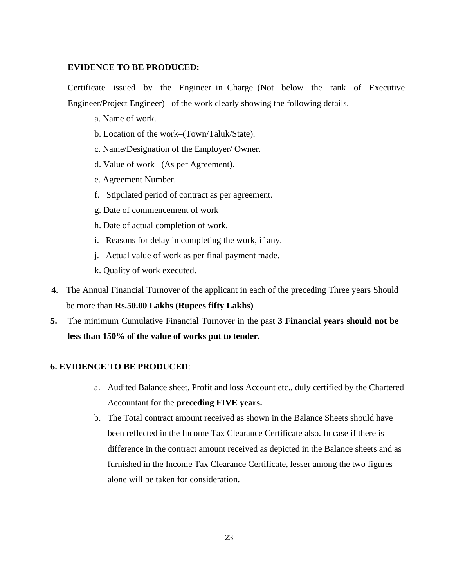#### **EVIDENCE TO BE PRODUCED:**

Certificate issued by the Engineer–in–Charge–(Not below the rank of Executive Engineer/Project Engineer)– of the work clearly showing the following details.

- a. Name of work.
- b. Location of the work–(Town/Taluk/State).
- c. Name/Designation of the Employer/ Owner.
- d. Value of work– (As per Agreement).
- e. Agreement Number.
- f. Stipulated period of contract as per agreement.
- g. Date of commencement of work
- h. Date of actual completion of work.
- i. Reasons for delay in completing the work, if any.
- j. Actual value of work as per final payment made.
- k. Quality of work executed.
- **4**. The Annual Financial Turnover of the applicant in each of the preceding Three years Should be more than **Rs.50.00 Lakhs (Rupees fifty Lakhs)**
- **5.** The minimum Cumulative Financial Turnover in the past **3 Financial years should not be less than 150% of the value of works put to tender.**

## **6. EVIDENCE TO BE PRODUCED**:

- a. Audited Balance sheet, Profit and loss Account etc., duly certified by the Chartered Accountant for the **preceding FIVE years.**
- b. The Total contract amount received as shown in the Balance Sheets should have been reflected in the Income Tax Clearance Certificate also. In case if there is difference in the contract amount received as depicted in the Balance sheets and as furnished in the Income Tax Clearance Certificate, lesser among the two figures alone will be taken for consideration.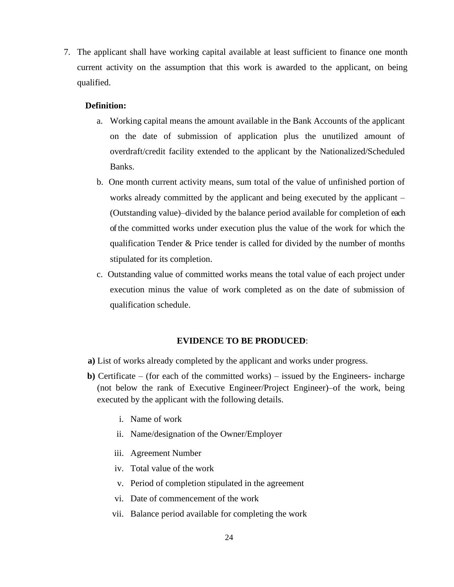7. The applicant shall have working capital available at least sufficient to finance one month current activity on the assumption that this work is awarded to the applicant, on being qualified.

#### **Definition:**

- a. Working capital means the amount available in the Bank Accounts of the applicant on the date of submission of application plus the unutilized amount of overdraft/credit facility extended to the applicant by the Nationalized/Scheduled Banks.
- b. One month current activity means, sum total of the value of unfinished portion of works already committed by the applicant and being executed by the applicant – (Outstanding value)–divided by the balance period available for completion of each of the committed works under execution plus the value of the work for which the qualification Tender & Price tender is called for divided by the number of months stipulated for its completion.
- c. Outstanding value of committed works means the total value of each project under execution minus the value of work completed as on the date of submission of qualification schedule.

#### **EVIDENCE TO BE PRODUCED**:

- **a)** List of works already completed by the applicant and works under progress.
- **b)** Certificate (for each of the committed works) issued by the Engineers- incharge (not below the rank of Executive Engineer/Project Engineer)–of the work, being executed by the applicant with the following details.
	- i. Name of work
	- ii. Name/designation of the Owner/Employer
	- iii. Agreement Number
	- iv. Total value of the work
	- v. Period of completion stipulated in the agreement
	- vi. Date of commencement of the work
	- vii. Balance period available for completing the work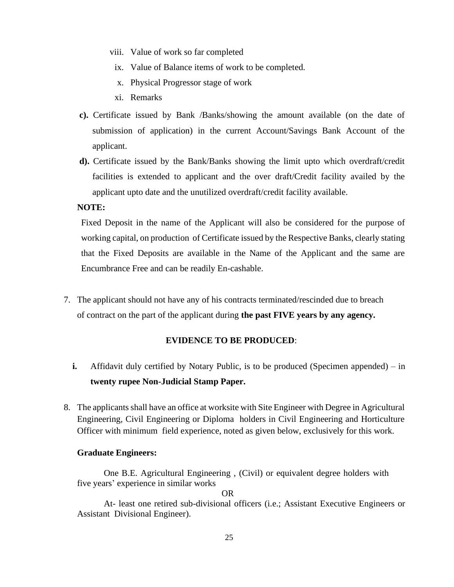- viii. Value of work so far completed
- ix. Value of Balance items of work to be completed.
- x. Physical Progressor stage of work
- xi. Remarks
- **c).** Certificate issued by Bank /Banks/showing the amount available (on the date of submission of application) in the current Account/Savings Bank Account of the applicant.
- **d).** Certificate issued by the Bank/Banks showing the limit upto which overdraft/credit facilities is extended to applicant and the over draft/Credit facility availed by the applicant upto date and the unutilized overdraft/credit facility available.

#### **NOTE:**

Fixed Deposit in the name of the Applicant will also be considered for the purpose of working capital, on production of Certificate issued by the Respective Banks, clearly stating that the Fixed Deposits are available in the Name of the Applicant and the same are Encumbrance Free and can be readily En-cashable.

7. The applicant should not have any of his contracts terminated/rescinded due to breach of contract on the part of the applicant during **the past FIVE years by any agency.**

#### **EVIDENCE TO BE PRODUCED**:

- **i.** Affidavit duly certified by Notary Public, is to be produced (Specimen appended) in **twenty rupee Non-Judicial Stamp Paper.**
- 8. The applicants shall have an office at worksite with Site Engineer with Degree in Agricultural Engineering, Civil Engineering or Diploma holders in Civil Engineering and Horticulture Officer with minimum field experience, noted as given below, exclusively for this work.

#### **Graduate Engineers:**

One B.E. Agricultural Engineering , (Civil) or equivalent degree holders with five years' experience in similar works

OR

At- least one retired sub-divisional officers (i.e.; Assistant Executive Engineers or Assistant Divisional Engineer).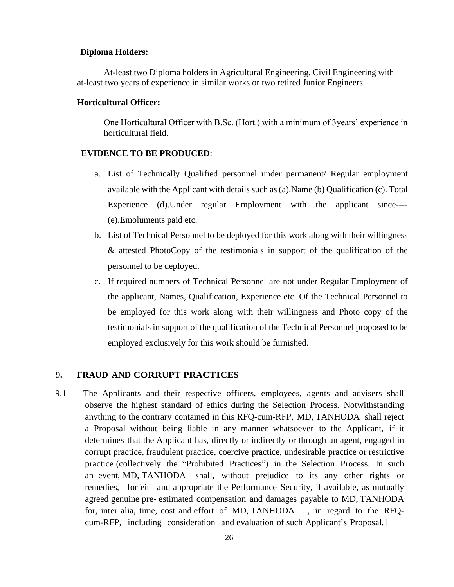#### **Diploma Holders:**

At-least two Diploma holders in Agricultural Engineering, Civil Engineering with at-least two years of experience in similar works or two retired Junior Engineers.

#### **Horticultural Officer:**

One Horticultural Officer with B.Sc. (Hort.) with a minimum of 3years' experience in horticultural field.

#### **EVIDENCE TO BE PRODUCED**:

- a. List of Technically Qualified personnel under permanent/ Regular employment available with the Applicant with details such as (a).Name (b) Qualification (c). Total Experience (d).Under regular Employment with the applicant since---- (e).Emoluments paid etc.
- b. List of Technical Personnel to be deployed for this work along with their willingness & attested PhotoCopy of the testimonials in support of the qualification of the personnel to be deployed.
- c. If required numbers of Technical Personnel are not under Regular Employment of the applicant, Names, Qualification, Experience etc. Of the Technical Personnel to be employed for this work along with their willingness and Photo copy of the testimonials in support of the qualification of the Technical Personnel proposed to be employed exclusively for this work should be furnished.

#### 9**. FRAUD AND CORRUPT PRACTICES**

<span id="page-29-0"></span>9.1 The Applicants and their respective officers, employees, agents and advisers shall observe the highest standard of ethics during the Selection Process. Notwithstanding anything to the contrary contained in this RFQ-cum-RFP, MD, TANHODA shall reject a Proposal without being liable in any manner whatsoever to the Applicant, if it determines that the Applicant has, directly or indirectly or through an agent, engaged in corrupt practice, fraudulent practice, coercive practice, undesirable practice or restrictive practice (collectively the "Prohibited Practices") in the Selection Process. In such an event, MD, TANHODA shall, without prejudice to its any other rights or remedies, forfeit and appropriate the Performance Security, if available, as mutually agreed genuine pre- estimated compensation and damages payable to MD, TANHODA for, inter alia, time, cost and effort of MD, TANHODA , in regard to the RFQcum-RFP, including consideration and evaluation of such Applicant's Proposal.]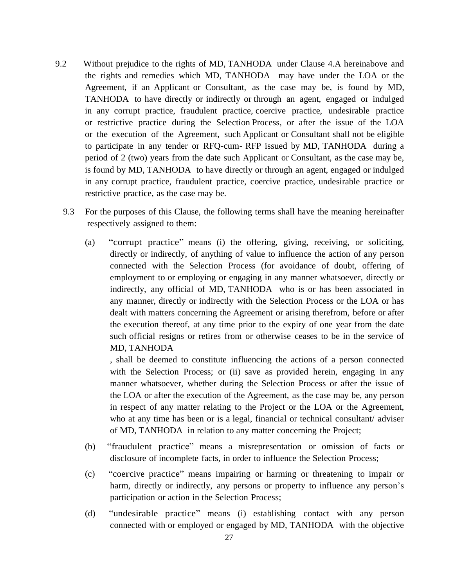- 9.2 Without prejudice to the rights of MD, TANHODA under Clause 4.A hereinabove and the rights and remedies which MD, TANHODA may have under the LOA or the Agreement, if an Applicant or Consultant, as the case may be, is found by MD, TANHODA to have directly or indirectly or through an agent, engaged or indulged in any corrupt practice, fraudulent practice, coercive practice, undesirable practice or restrictive practice during the Selection Process, or after the issue of the LOA or the execution of the Agreement, such Applicant or Consultant shall not be eligible to participate in any tender or RFQ-cum- RFP issued by MD, TANHODA during a period of 2 (two) years from the date such Applicant or Consultant, as the case may be, is found by MD, TANHODA to have directly or through an agent, engaged or indulged in any corrupt practice, fraudulent practice, coercive practice, undesirable practice or restrictive practice, as the case may be.
	- 9.3 For the purposes of this Clause, the following terms shall have the meaning hereinafter respectively assigned to them:
		- (a) "corrupt practice" means (i) the offering, giving, receiving, or soliciting, directly or indirectly, of anything of value to influence the action of any person connected with the Selection Process (for avoidance of doubt, offering of employment to or employing or engaging in any manner whatsoever, directly or indirectly, any official of MD, TANHODA who is or has been associated in any manner, directly or indirectly with the Selection Process or the LOA or has dealt with matters concerning the Agreement or arising therefrom, before or after the execution thereof, at any time prior to the expiry of one year from the date such official resigns or retires from or otherwise ceases to be in the service of MD, TANHODA

, shall be deemed to constitute influencing the actions of a person connected with the Selection Process; or (ii) save as provided herein, engaging in any manner whatsoever, whether during the Selection Process or after the issue of the LOA or after the execution of the Agreement, as the case may be, any person in respect of any matter relating to the Project or the LOA or the Agreement, who at any time has been or is a legal, financial or technical consultant/adviser of MD, TANHODA in relation to any matter concerning the Project;

- (b) "fraudulent practice" means a misrepresentation or omission of facts or disclosure of incomplete facts, in order to influence the Selection Process;
- (c) "coercive practice" means impairing or harming or threatening to impair or harm, directly or indirectly, any persons or property to influence any person's participation or action in the Selection Process;
- (d) "undesirable practice" means (i) establishing contact with any person connected with or employed or engaged by MD, TANHODA with the objective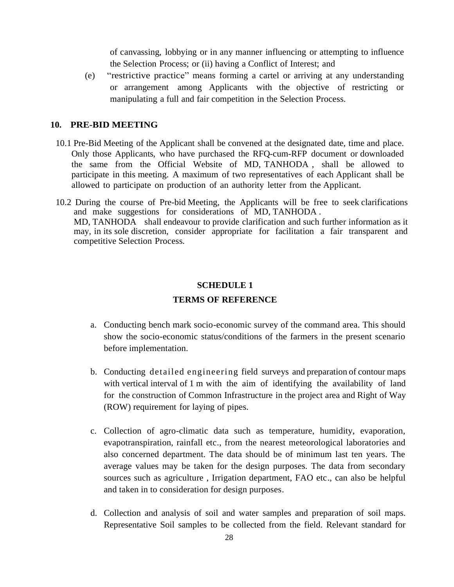of canvassing, lobbying or in any manner influencing or attempting to influence the Selection Process; or (ii) having a Conflict of Interest; and

(e) "restrictive practice" means forming a cartel or arriving at any understanding or arrangement among Applicants with the objective of restricting or manipulating a full and fair competition in the Selection Process.

#### **10. PRE-BID MEETING**

- <span id="page-31-0"></span>10.1 Pre-Bid Meeting of the Applicant shall be convened at the designated date, time and place. Only those Applicants, who have purchased the RFQ-cum-RFP document or downloaded the same from the Official Website of MD, TANHODA , shall be allowed to participate in this meeting. A maximum of two representatives of each Applicant shall be allowed to participate on production of an authority letter from the Applicant.
- 10.2 During the course of Pre-bid Meeting, the Applicants will be free to seek clarifications and make suggestions for considerations of MD, TANHODA . MD, TANHODA shall endeavour to provide clarification and such further information as it may, in its sole discretion, consider appropriate for facilitation a fair transparent and competitive Selection Process.

#### **SCHEDULE 1**

#### **TERMS OF REFERENCE**

- a. Conducting bench mark socio-economic survey of the command area. This should show the socio-economic status/conditions of the farmers in the present scenario before implementation.
- b. Conducting detailed engineering field surveys and preparation of contour maps with vertical interval of 1 m with the aim of identifying the availability of land for the construction of Common Infrastructure in the project area and Right of Way (ROW) requirement for laying of pipes.
- c. Collection of agro-climatic data such as temperature, humidity, evaporation, evapotranspiration, rainfall etc., from the nearest meteorological laboratories and also concerned department. The data should be of minimum last ten years. The average values may be taken for the design purposes. The data from secondary sources such as agriculture , Irrigation department, FAO etc., can also be helpful and taken in to consideration for design purposes.
- d. Collection and analysis of soil and water samples and preparation of soil maps. Representative Soil samples to be collected from the field. Relevant standard for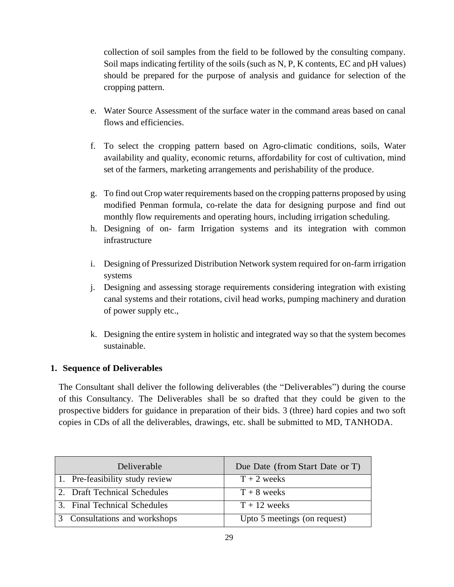collection of soil samples from the field to be followed by the consulting company. Soil maps indicating fertility of the soils (such as N, P, K contents, EC and pH values) should be prepared for the purpose of analysis and guidance for selection of the cropping pattern.

- e. Water Source Assessment of the surface water in the command areas based on canal flows and efficiencies.
- f. To select the cropping pattern based on Agro-climatic conditions, soils, Water availability and quality, economic returns, affordability for cost of cultivation, mind set of the farmers, marketing arrangements and perishability of the produce.
- g. To find out Crop water requirements based on the cropping patterns proposed by using modified Penman formula, co-relate the data for designing purpose and find out monthly flow requirements and operating hours, including irrigation scheduling.
- h. Designing of on- farm Irrigation systems and its integration with common infrastructure
- i. Designing of Pressurized Distribution Network system required for on-farm irrigation systems
- j. Designing and assessing storage requirements considering integration with existing canal systems and their rotations, civil head works, pumping machinery and duration of power supply etc.,
- k. Designing the entire system in holistic and integrated way so that the system becomes sustainable.

# **1. Sequence of Deliverables**

The Consultant shall deliver the following deliverables (the "Deliverables") during the course of this Consultancy. The Deliverables shall be so drafted that they could be given to the prospective bidders for guidance in preparation of their bids. 3 (three) hard copies and two soft copies in CDs of all the deliverables, drawings, etc. shall be submitted to MD, TANHODA.

| Deliverable                     | Due Date (from Start Date or T) |
|---------------------------------|---------------------------------|
| 1. Pre-feasibility study review | $T + 2$ weeks                   |
| 2. Draft Technical Schedules    | $T + 8$ weeks                   |
| 3. Final Technical Schedules    | $T + 12$ weeks                  |
| 3 Consultations and workshops   | Upto 5 meetings (on request)    |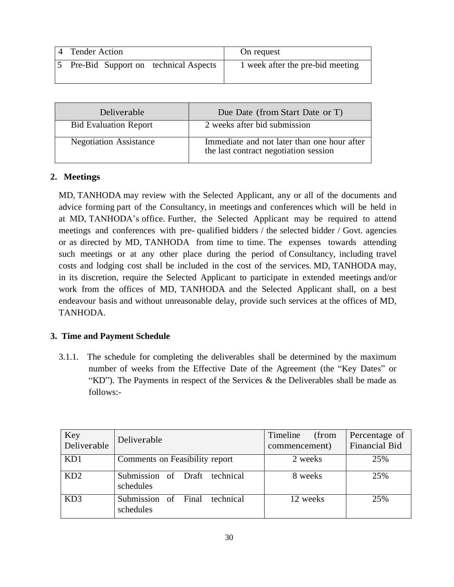| 4 Tender Action |                                      | On request                       |
|-----------------|--------------------------------------|----------------------------------|
|                 | Pre-Bid Support on technical Aspects | 1 week after the pre-bid meeting |

| <b>Deliverable</b>            | Due Date (from Start Date or T)                                                      |
|-------------------------------|--------------------------------------------------------------------------------------|
| <b>Bid Evaluation Report</b>  | 2 weeks after bid submission                                                         |
| <b>Negotiation Assistance</b> | Immediate and not later than one hour after<br>the last contract negotiation session |

## **2. Meetings**

MD, TANHODA may review with the Selected Applicant, any or all of the documents and advice forming part of the Consultancy, in meetings and conferences which will be held in at MD, TANHODA's office. Further, the Selected Applicant may be required to attend meetings and conferences with pre- qualified bidders / the selected bidder / Govt. agencies or as directed by MD, TANHODA from time to time. The expenses towards attending such meetings or at any other place during the period of Consultancy, including travel costs and lodging cost shall be included in the cost of the services. MD, TANHODA may, in its discretion, require the Selected Applicant to participate in extended meetings and/or work from the offices of MD, TANHODA and the Selected Applicant shall, on a best endeavour basis and without unreasonable delay, provide such services at the offices of MD, TANHODA.

# **3. Time and Payment Schedule**

3.1.1. The schedule for completing the deliverables shall be determined by the maximum number of weeks from the Effective Date of the Agreement (the "Key Dates" or "KD"). The Payments in respect of the Services  $\&$  the Deliverables shall be made as follows:-

| Key<br>Deliverable | Deliverable                                      | Timeline<br>(from<br>commencement) | Percentage of<br><b>Financial Bid</b> |
|--------------------|--------------------------------------------------|------------------------------------|---------------------------------------|
| KD1                | Comments on Feasibility report                   | 2 weeks                            | 25%                                   |
| KD2                | Submission of Draft<br>technical<br>schedules    | 8 weeks                            | 25%                                   |
| KD <sub>3</sub>    | Submission of<br>technical<br>Final<br>schedules | 12 weeks                           | 25%                                   |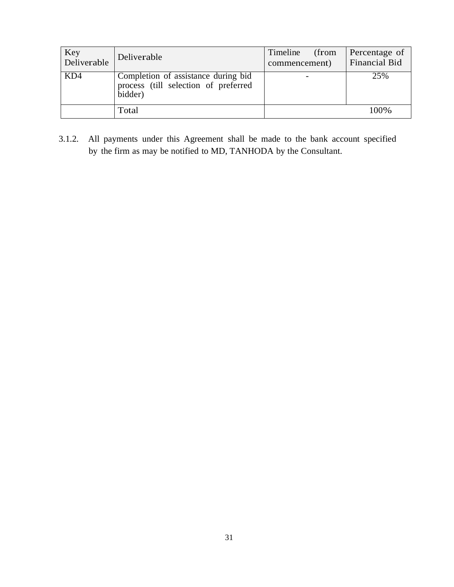| Key<br>Deliverable | Deliverable                                                                            | Timeline<br>(from<br>commencement) | Percentage of<br>Financial Bid |
|--------------------|----------------------------------------------------------------------------------------|------------------------------------|--------------------------------|
| KD4                | Completion of assistance during bid<br>process (till selection of preferred<br>bidder) |                                    | 25%                            |
|                    | Total                                                                                  |                                    | 100\%                          |

3.1.2. All payments under this Agreement shall be made to the bank account specified by the firm as may be notified to MD, TANHODA by the Consultant.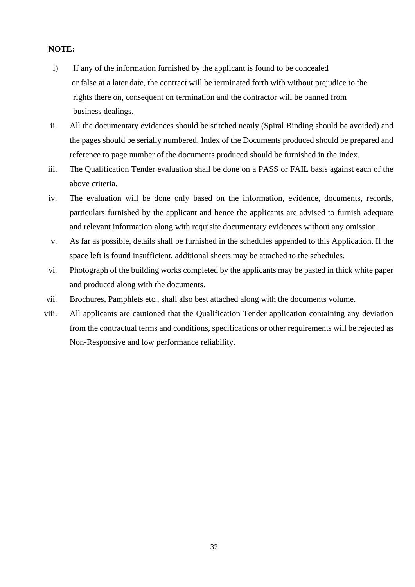## **NOTE:**

- i) If any of the information furnished by the applicant is found to be concealed or false at a later date, the contract will be terminated forth with without prejudice to the rights there on, consequent on termination and the contractor will be banned from business dealings.
- ii. All the documentary evidences should be stitched neatly (Spiral Binding should be avoided) and the pages should be serially numbered. Index of the Documents produced should be prepared and reference to page number of the documents produced should be furnished in the index.
- iii. The Qualification Tender evaluation shall be done on a PASS or FAIL basis against each of the above criteria.
- iv. The evaluation will be done only based on the information, evidence, documents, records, particulars furnished by the applicant and hence the applicants are advised to furnish adequate and relevant information along with requisite documentary evidences without any omission.
- v. As far as possible, details shall be furnished in the schedules appended to this Application. If the space left is found insufficient, additional sheets may be attached to the schedules.
- vi. Photograph of the building works completed by the applicants may be pasted in thick white paper and produced along with the documents.
- vii. Brochures, Pamphlets etc., shall also best attached along with the documents volume.
- viii. All applicants are cautioned that the Qualification Tender application containing any deviation from the contractual terms and conditions, specifications or other requirements will be rejected as Non-Responsive and low performance reliability.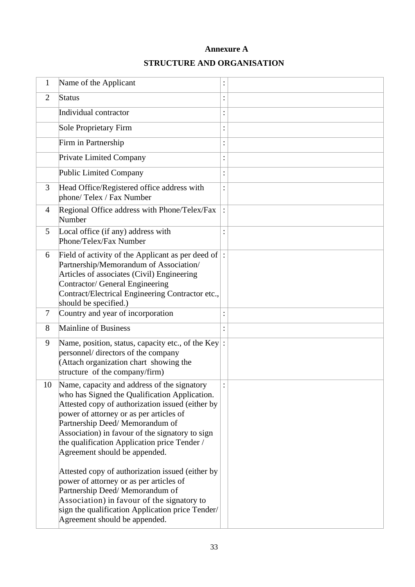# **Annexure A**

# **STRUCTURE AND ORGANISATION**

| 1              | Name of the Applicant                                                                                                                                                                                                                                                                                                                                              | $\ddot{\cdot}$ |  |
|----------------|--------------------------------------------------------------------------------------------------------------------------------------------------------------------------------------------------------------------------------------------------------------------------------------------------------------------------------------------------------------------|----------------|--|
| $\overline{2}$ | Status                                                                                                                                                                                                                                                                                                                                                             | $\bullet$      |  |
|                | Individual contractor                                                                                                                                                                                                                                                                                                                                              | $\ddot{\cdot}$ |  |
|                | Sole Proprietary Firm                                                                                                                                                                                                                                                                                                                                              | $\ddot{\cdot}$ |  |
|                | Firm in Partnership                                                                                                                                                                                                                                                                                                                                                | $\colon$       |  |
|                | <b>Private Limited Company</b>                                                                                                                                                                                                                                                                                                                                     | :              |  |
|                | <b>Public Limited Company</b>                                                                                                                                                                                                                                                                                                                                      | $\colon$       |  |
| 3              | Head Office/Registered office address with<br>phone/ Telex / Fax Number                                                                                                                                                                                                                                                                                            | :              |  |
| 4              | Regional Office address with Phone/Telex/Fax<br>Number                                                                                                                                                                                                                                                                                                             |                |  |
| 5              | Local office (if any) address with<br>Phone/Telex/Fax Number                                                                                                                                                                                                                                                                                                       |                |  |
| 6              | Field of activity of the Applicant as per deed of $\vert$ :<br>Partnership/Memorandum of Association/<br>Articles of associates (Civil) Engineering<br>Contractor/ General Engineering<br>Contract/Electrical Engineering Contractor etc.,<br>should be specified.)                                                                                                |                |  |
| $\tau$         | Country and year of incorporation                                                                                                                                                                                                                                                                                                                                  | $\ddot{\cdot}$ |  |
| 8              | <b>Mainline of Business</b>                                                                                                                                                                                                                                                                                                                                        |                |  |
| 9              | Name, position, status, capacity etc., of the Key:<br>personnel/ directors of the company<br>(Attach organization chart showing the<br>structure of the company/firm)                                                                                                                                                                                              |                |  |
| 10             | Name, capacity and address of the signatory<br>who has Signed the Qualification Application.<br>Attested copy of authorization issued (either by<br>power of attorney or as per articles of<br>Partnership Deed/ Memorandum of<br>Association) in favour of the signatory to sign<br>the qualification Application price Tender /<br>Agreement should be appended. | $\ddot{\cdot}$ |  |
|                | Attested copy of authorization issued (either by<br>power of attorney or as per articles of<br>Partnership Deed/ Memorandum of<br>Association) in favour of the signatory to<br>sign the qualification Application price Tender/<br>Agreement should be appended.                                                                                                  |                |  |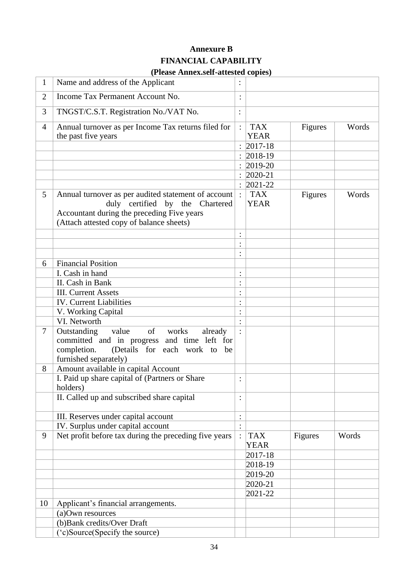# **Annexure B FINANCIAL CAPABILITY**

| $\mathbf{1}$   | (1 Icase Allica.scil-attested copies)<br>Name and address of the Applicant             |                |                           |         |       |
|----------------|----------------------------------------------------------------------------------------|----------------|---------------------------|---------|-------|
|                |                                                                                        |                |                           |         |       |
| $\overline{2}$ | Income Tax Permanent Account No.                                                       |                |                           |         |       |
| 3              | TNGST/C.S.T. Registration No./VAT No.                                                  | $\ddot{\cdot}$ |                           |         |       |
| $\overline{4}$ | Annual turnover as per Income Tax returns filed for                                    |                | <b>TAX</b>                | Figures | Words |
|                | the past five years                                                                    |                | <b>YEAR</b>               |         |       |
|                |                                                                                        |                | $2017 - 18$               |         |       |
|                |                                                                                        | $\ddot{\cdot}$ | $2018-19$                 |         |       |
|                |                                                                                        |                | $2019 - 20$               |         |       |
|                |                                                                                        |                | $2020 - 21$               |         |       |
|                |                                                                                        | $\ddot{\cdot}$ | $2021 - 22$               |         |       |
| 5              | Annual turnover as per audited statement of account<br>duly certified by the Chartered |                | <b>TAX</b><br><b>YEAR</b> | Figures | Words |
|                | Accountant during the preceding Five years<br>(Attach attested copy of balance sheets) |                |                           |         |       |
|                |                                                                                        |                |                           |         |       |
|                |                                                                                        | $\ddot{\cdot}$ |                           |         |       |
|                |                                                                                        | $\bullet$      |                           |         |       |
| 6              | <b>Financial Position</b>                                                              |                |                           |         |       |
|                | I. Cash in hand                                                                        | $\ddot{\cdot}$ |                           |         |       |
|                | II. Cash in Bank                                                                       |                |                           |         |       |
|                | <b>III.</b> Current Assets                                                             |                |                           |         |       |
|                | <b>IV.</b> Current Liabilities                                                         | $\ddot{\cdot}$ |                           |         |       |
|                | V. Working Capital                                                                     |                |                           |         |       |
|                | VI. Networth                                                                           |                |                           |         |       |
| $\overline{7}$ | $of$ <sup><math>\Box</math></sup><br>Outstanding<br>value<br>works<br>already          |                |                           |         |       |
|                | committed and in progress and time left for                                            |                |                           |         |       |
|                | (Details for each work to be<br>completion.                                            |                |                           |         |       |
|                | furnished separately)                                                                  |                |                           |         |       |
| 8              | Amount available in capital Account                                                    |                |                           |         |       |
|                | I. Paid up share capital of (Partners or Share                                         |                |                           |         |       |
|                | holders)                                                                               |                |                           |         |       |
|                | II. Called up and subscribed share capital                                             |                |                           |         |       |
|                | III. Reserves under capital account                                                    | $\vdots$       |                           |         |       |
|                | IV. Surplus under capital account                                                      | $\ddot{\cdot}$ |                           |         |       |
| 9              | Net profit before tax during the preceding five years                                  | $\ddot{\cdot}$ | <b>TAX</b><br><b>YEAR</b> | Figures | Words |
|                |                                                                                        |                | 2017-18                   |         |       |
|                |                                                                                        |                | 2018-19                   |         |       |
|                |                                                                                        |                | 2019-20                   |         |       |
|                |                                                                                        |                | $2020 - 21$               |         |       |
|                |                                                                                        |                | $2021 - 22$               |         |       |
| 10             | Applicant's financial arrangements.                                                    |                |                           |         |       |
|                | (a)Own resources                                                                       |                |                           |         |       |
|                | (b) Bank credits/Over Draft                                                            |                |                           |         |       |
|                | ('c)Source(Specify the source)                                                         |                |                           |         |       |
|                |                                                                                        |                |                           |         |       |

## **(Please Annex.self-attested copies)**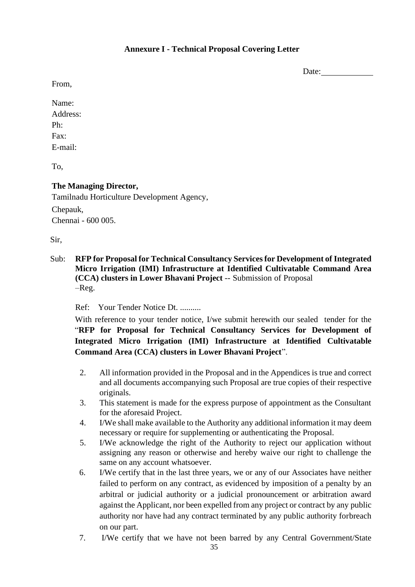Date:

From,

Name: Address: Ph: Fax: E-mail:

To,

# **The Managing Director,**

Tamilnadu Horticulture Development Agency, Chepauk, Chennai - 600 005.

Sir,

Sub: **RFP for Proposal for Technical Consultancy Services for Development of Integrated Micro Irrigation (IMI) Infrastructure at Identified Cultivatable Command Area (CCA) clusters in Lower Bhavani Project** -- Submission of Proposal –Reg.

Ref: Your Tender Notice Dt. ..........

With reference to your tender notice, I/we submit herewith our sealed tender for the "**RFP for Proposal for Technical Consultancy Services for Development of Integrated Micro Irrigation (IMI) Infrastructure at Identified Cultivatable Command Area (CCA) clusters in Lower Bhavani Project**".

- 2. All information provided in the Proposal and in the Appendices is true and correct and all documents accompanying such Proposal are true copies of their respective originals.
- 3. This statement is made for the express purpose of appointment as the Consultant for the aforesaid Project.
- 4. I/We shall make available to the Authority any additional information it may deem necessary or require for supplementing or authenticating the Proposal.
- 5. I/We acknowledge the right of the Authority to reject our application without assigning any reason or otherwise and hereby waive our right to challenge the same on any account whatsoever.
- 6. I/We certify that in the last three years, we or any of our Associates have neither failed to perform on any contract, as evidenced by imposition of a penalty by an arbitral or judicial authority or a judicial pronouncement or arbitration award against the Applicant, nor been expelled from any project or contract by any public authority nor have had any contract terminated by any public authority forbreach on our part.
- 7. I/We certify that we have not been barred by any Central Government/State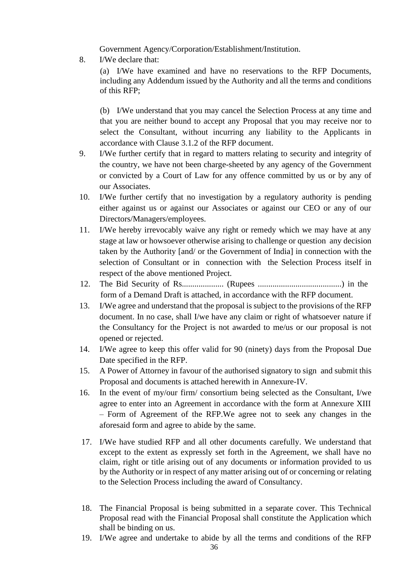Government Agency/Corporation/Establishment/Institution.

8. I/We declare that:

(a) I/We have examined and have no reservations to the RFP Documents, including any Addendum issued by the Authority and all the terms and conditions of this RFP;

(b) I/We understand that you may cancel the Selection Process at any time and that you are neither bound to accept any Proposal that you may receive nor to select the Consultant, without incurring any liability to the Applicants in accordance with Clause [3.1.2](#page-23-0) of the RFP document.

- 9. I/We further certify that in regard to matters relating to security and integrity of the country, we have not been charge-sheeted by any agency of the Government or convicted by a Court of Law for any offence committed by us or by any of our Associates.
- 10. I/We further certify that no investigation by a regulatory authority is pending either against us or against our Associates or against our CEO or any of our Directors/Managers/employees.
- 11. I/We hereby irrevocably waive any right or remedy which we may have at any stage at law or howsoever otherwise arising to challenge or question any decision taken by the Authority [and/ or the Government of India] in connection with the selection of Consultant or in connection with the Selection Process itself in respect of the above mentioned Project.
- 12. The Bid Security of Rs.................... (Rupees ........................................) in the form of a Demand Draft is attached, in accordance with the RFP document.
- 13. I/We agree and understand that the proposal is subject to the provisions of the RFP document. In no case, shall I/we have any claim or right of whatsoever nature if the Consultancy for the Project is not awarded to me/us or our proposal is not opened or rejected.
- 14. I/We agree to keep this offer valid for 90 (ninety) days from the Proposal Due Date specified in the RFP.
- 15. A Power of Attorney in favour of the authorised signatory to sign and submit this Proposal and documents is attached herewith in Annexure-IV.
- 16. In the event of my/our firm/ consortium being selected as the Consultant, I/we agree to enter into an Agreement in accordance with the form at Annexure XIII – Form of Agreement of the RFP.We agree not to seek any changes in the aforesaid form and agree to abide by the same.
- 17. I/We have studied RFP and all other documents carefully. We understand that except to the extent as expressly set forth in the Agreement, we shall have no claim, right or title arising out of any documents or information provided to us by the Authority or in respect of any matter arising out of or concerning or relating to the Selection Process including the award of Consultancy.
- 18. The Financial Proposal is being submitted in a separate cover. This Technical Proposal read with the Financial Proposal shall constitute the Application which shall be binding on us.
- 19. I/We agree and undertake to abide by all the terms and conditions of the RFP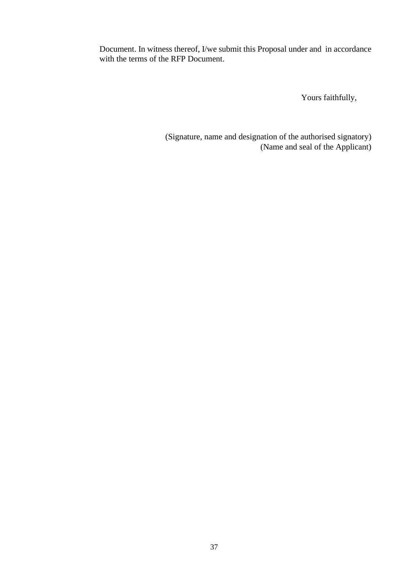Document. In witness thereof, I/we submit this Proposal under and in accordance with the terms of the RFP Document.

Yours faithfully,

(Signature, name and designation of the authorised signatory) (Name and seal of the Applicant)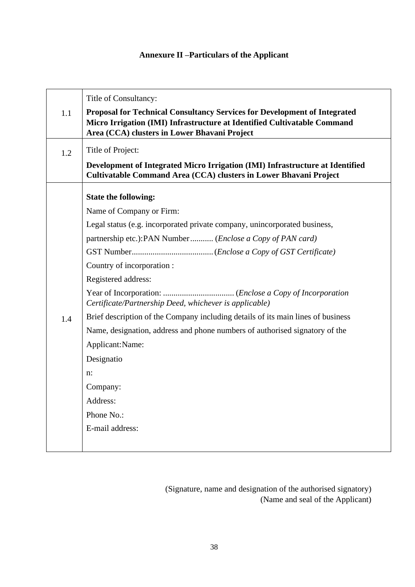# **Annexure II –Particulars of the Applicant**

|     | Title of Consultancy:                                                                                                                              |
|-----|----------------------------------------------------------------------------------------------------------------------------------------------------|
| 1.1 | Proposal for Technical Consultancy Services for Development of Integrated                                                                          |
|     | Micro Irrigation (IMI) Infrastructure at Identified Cultivatable Command                                                                           |
|     | Area (CCA) clusters in Lower Bhavani Project                                                                                                       |
| 1.2 | Title of Project:                                                                                                                                  |
|     | Development of Integrated Micro Irrigation (IMI) Infrastructure at Identified<br>Cultivatable Command Area (CCA) clusters in Lower Bhavani Project |
|     | <b>State the following:</b>                                                                                                                        |
|     | Name of Company or Firm:                                                                                                                           |
|     | Legal status (e.g. incorporated private company, unincorporated business,                                                                          |
|     | partnership etc.): PAN Number (Enclose a Copy of PAN card)                                                                                         |
|     |                                                                                                                                                    |
|     | Country of incorporation :                                                                                                                         |
|     | Registered address:                                                                                                                                |
|     | Certificate/Partnership Deed, whichever is applicable)                                                                                             |
| 1.4 | Brief description of the Company including details of its main lines of business                                                                   |
|     | Name, designation, address and phone numbers of authorised signatory of the                                                                        |
|     | Applicant:Name:                                                                                                                                    |
|     | Designatio                                                                                                                                         |
|     | n:                                                                                                                                                 |
|     | Company:                                                                                                                                           |
|     | Address:                                                                                                                                           |
|     | Phone No.:                                                                                                                                         |
|     | E-mail address:                                                                                                                                    |
|     |                                                                                                                                                    |
|     |                                                                                                                                                    |

(Signature, name and designation of the authorised signatory) (Name and seal of the Applicant)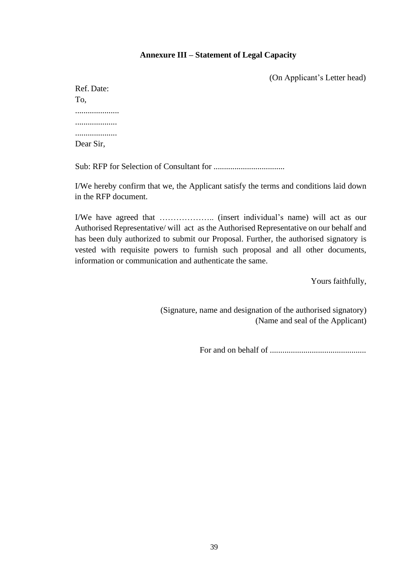## **Annexure III – Statement of Legal Capacity**

(On Applicant's Letter head)

| Ref. Date: |
|------------|
| To,        |
|            |
|            |
|            |
|            |
|            |
| Dear Sir,  |

Sub: RFP for Selection of Consultant for ..................................

I/We hereby confirm that we, the Applicant satisfy the terms and conditions laid down in the RFP document.

I/We have agreed that ……………….. (insert individual's name) will act as our Authorised Representative/ will act as the Authorised Representative on our behalf and has been duly authorized to submit our Proposal. Further, the authorised signatory is vested with requisite powers to furnish such proposal and all other documents, information or communication and authenticate the same.

Yours faithfully,

(Signature, name and designation of the authorised signatory) (Name and seal of the Applicant)

For and on behalf of ..............................................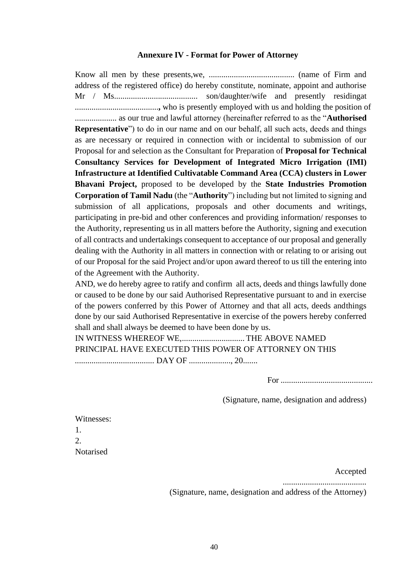#### **Annexure IV - Format for Power of Attorney**

Know all men by these presents,we, ......................................... (name of Firm and address of the registered office) do hereby constitute, nominate, appoint and authorise Mr / Ms........................................ son/daughter/wife and presently residingat ........................................**,** who is presently employed with us and holding the position of .................... as our true and lawful attorney (hereinafter referred to as the "**Authorised Representative**") to do in our name and on our behalf, all such acts, deeds and things as are necessary or required in connection with or incidental to submission of our Proposal for and selection as the Consultant for Preparation of **Proposal for Technical Consultancy Services for Development of Integrated Micro Irrigation (IMI) Infrastructure at Identified Cultivatable Command Area (CCA) clusters in Lower Bhavani Project,** proposed to be developed by the **State Industries Promotion Corporation of Tamil Nadu** (the "**Authority**") including but not limited to signing and submission of all applications, proposals and other documents and writings, participating in pre-bid and other conferences and providing information/ responses to the Authority, representing us in all matters before the Authority, signing and execution of all contracts and undertakings consequent to acceptance of our proposal and generally dealing with the Authority in all matters in connection with or relating to or arising out of our Proposal for the said Project and/or upon award thereof to us till the entering into of the Agreement with the Authority.

AND, we do hereby agree to ratify and confirm all acts, deeds and things lawfully done or caused to be done by our said Authorised Representative pursuant to and in exercise of the powers conferred by this Power of Attorney and that all acts, deeds andthings done by our said Authorised Representative in exercise of the powers hereby conferred shall and shall always be deemed to have been done by us.

IN WITNESS WHEREOF WE,.............................. THE ABOVE NAMED PRINCIPAL HAVE EXECUTED THIS POWER OF ATTORNEY ON THIS ...................................... DAY OF ...................., 20.......

For ............................................

(Signature, name, designation and address)

| Witnesses:  |
|-------------|
| Т.          |
| $2^{\circ}$ |
| Notarised   |

Accepted

........................................

(Signature, name, designation and address of the Attorney)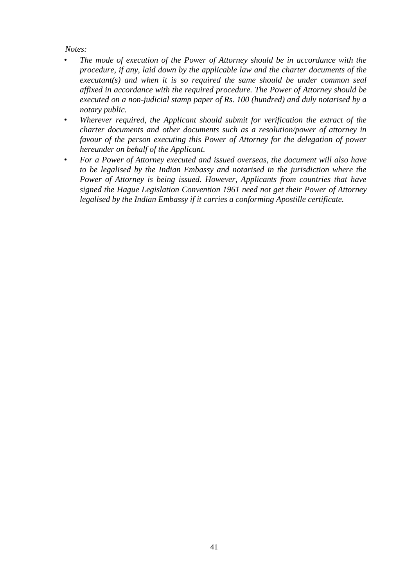## *Notes:*

- *The mode of execution of the Power of Attorney should be in accordance with the procedure, if any, laid down by the applicable law and the charter documents of the executant(s) and when it is so required the same should be under common seal affixed in accordance with the required procedure. The Power of Attorney should be executed on a non-judicial stamp paper of Rs. 100 (hundred) and duly notarised by a notary public.*
- *Wherever required, the Applicant should submit for verification the extract of the charter documents and other documents such as a resolution/power of attorney in favour of the person executing this Power of Attorney for the delegation of power hereunder on behalf of the Applicant.*
- *For a Power of Attorney executed and issued overseas, the document will also have to be legalised by the Indian Embassy and notarised in the jurisdiction where the Power of Attorney is being issued. However, Applicants from countries that have signed the Hague Legislation Convention 1961 need not get their Power of Attorney legalised by the Indian Embassy if it carries a conforming Apostille certificate.*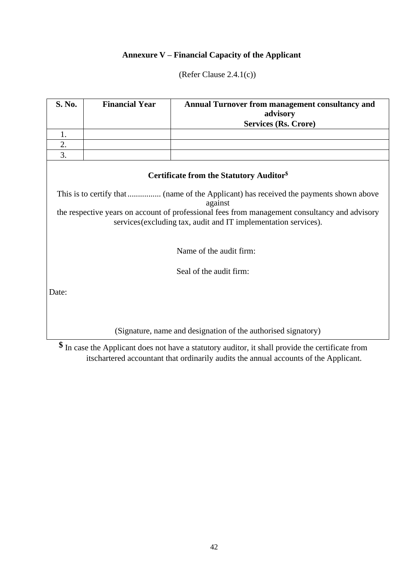# **Annexure V – Financial Capacity of the Applicant**

(Refer Clause [2.4.1\(](#page-9-0)c))

| <b>S. No.</b>           | <b>Financial Year</b><br><b>Annual Turnover from management consultancy and</b><br>advisory                                                                      |                                                               |  |  |  |  |  |
|-------------------------|------------------------------------------------------------------------------------------------------------------------------------------------------------------|---------------------------------------------------------------|--|--|--|--|--|
|                         |                                                                                                                                                                  | <b>Services (Rs. Crore)</b>                                   |  |  |  |  |  |
| 1.                      |                                                                                                                                                                  |                                                               |  |  |  |  |  |
| 2.                      |                                                                                                                                                                  |                                                               |  |  |  |  |  |
| 3.                      |                                                                                                                                                                  |                                                               |  |  |  |  |  |
|                         |                                                                                                                                                                  | Certificate from the Statutory Auditor <sup>§</sup>           |  |  |  |  |  |
|                         |                                                                                                                                                                  | against                                                       |  |  |  |  |  |
|                         | the respective years on account of professional fees from management consultancy and advisory<br>services (excluding tax, audit and IT implementation services). |                                                               |  |  |  |  |  |
|                         | Name of the audit firm:                                                                                                                                          |                                                               |  |  |  |  |  |
| Seal of the audit firm: |                                                                                                                                                                  |                                                               |  |  |  |  |  |
| Date:                   |                                                                                                                                                                  |                                                               |  |  |  |  |  |
|                         |                                                                                                                                                                  |                                                               |  |  |  |  |  |
| ሖ                       |                                                                                                                                                                  | (Signature, name and designation of the authorised signatory) |  |  |  |  |  |

**\$** In case the Applicant does not have a statutory auditor, it shall provide the certificate from itschartered accountant that ordinarily audits the annual accounts of the Applicant.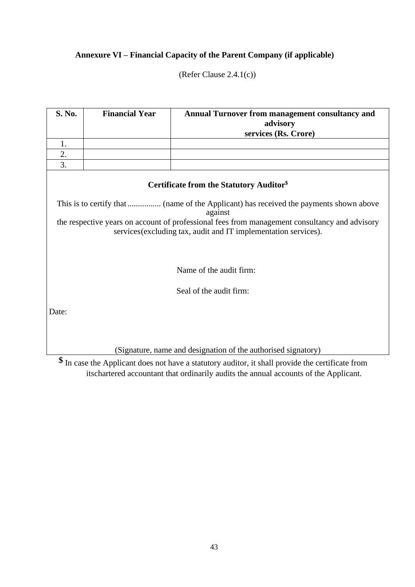# **Annexure VI – Financial Capacity of the Parent Company (if applicable)**

(Refer Clause [2.4.1\(](#page-9-0)c))

| S. No.                  | <b>Financial Year</b><br>Annual Turnover from management consultancy and<br>advisory |                                                                                                                                                                  |  |  |  |  |
|-------------------------|--------------------------------------------------------------------------------------|------------------------------------------------------------------------------------------------------------------------------------------------------------------|--|--|--|--|
|                         |                                                                                      | services (Rs. Crore)                                                                                                                                             |  |  |  |  |
| 1.                      |                                                                                      |                                                                                                                                                                  |  |  |  |  |
| 2.                      |                                                                                      |                                                                                                                                                                  |  |  |  |  |
| 3.                      |                                                                                      |                                                                                                                                                                  |  |  |  |  |
|                         |                                                                                      | Certificate from the Statutory Auditor <sup>§</sup>                                                                                                              |  |  |  |  |
|                         |                                                                                      | against                                                                                                                                                          |  |  |  |  |
|                         |                                                                                      | the respective years on account of professional fees from management consultancy and advisory<br>services (excluding tax, audit and IT implementation services). |  |  |  |  |
|                         |                                                                                      |                                                                                                                                                                  |  |  |  |  |
|                         |                                                                                      | Name of the audit firm:                                                                                                                                          |  |  |  |  |
| Seal of the audit firm: |                                                                                      |                                                                                                                                                                  |  |  |  |  |
| Date:                   |                                                                                      |                                                                                                                                                                  |  |  |  |  |
|                         |                                                                                      | (Signature, name and designation of the authorised signatory)                                                                                                    |  |  |  |  |

**\$** In case the Applicant does not have a statutory auditor, it shall provide the certificate from itschartered accountant that ordinarily audits the annual accounts of the Applicant.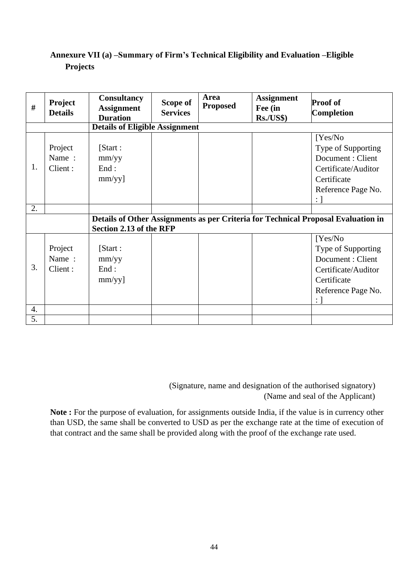# **Annexure VII (a) –Summary of Firm's Technical Eligibility and Evaluation –Eligible Projects**

| #  | <b>Project</b><br><b>Details</b> | <b>Consultancy</b><br><b>Assignment</b><br><b>Duration</b> | Scope of<br><b>Services</b> | Area<br><b>Proposed</b> | <b>Assignment</b><br>Fee (in<br><b>Rs./US\$)</b> | <b>Proof of</b><br><b>Completion</b>                                                                                                |
|----|----------------------------------|------------------------------------------------------------|-----------------------------|-------------------------|--------------------------------------------------|-------------------------------------------------------------------------------------------------------------------------------------|
|    |                                  | <b>Details of Eligible Assignment</b>                      |                             |                         |                                                  |                                                                                                                                     |
| 1. | Project<br>Name:<br>Client:      | [Start:<br>mm/yy<br>End:<br>mm/yy]                         |                             |                         |                                                  | Yes/No<br>Type of Supporting<br>Document: Client<br>Certificate/Auditor<br>Certificate<br>Reference Page No.<br>: 1                 |
| 2. |                                  |                                                            |                             |                         |                                                  |                                                                                                                                     |
|    |                                  | Section 2.13 of the RFP                                    |                             |                         |                                                  | Details of Other Assignments as per Criteria for Technical Proposal Evaluation in                                                   |
| 3. | Project<br>Name:<br>Client:      | [Start:<br>mm/yy<br>End:<br>$mm/yy$ ]                      |                             |                         |                                                  | Yes/No<br>Type of Supporting<br>Document: Client<br>Certificate/Auditor<br>Certificate<br>Reference Page No.<br>$\colon \mathsf{I}$ |
| 4. |                                  |                                                            |                             |                         |                                                  |                                                                                                                                     |
| 5. |                                  |                                                            |                             |                         |                                                  |                                                                                                                                     |

 (Signature, name and designation of the authorised signatory) (Name and seal of the Applicant)

Note : For the purpose of evaluation, for assignments outside India, if the value is in currency other than USD, the same shall be converted to USD as per the exchange rate at the time of execution of that contract and the same shall be provided along with the proof of the exchange rate used.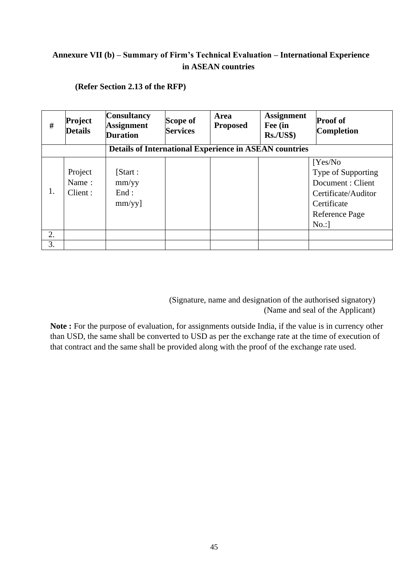# **Annexure VII (b) – Summary of Firm's Technical Evaluation – International Experience in ASEAN countries**

| #  | Project<br><b>Details</b>   | <b>Consultancy</b><br><b>Assignment</b><br><b>Duration</b>    | Scope of<br><b>Services</b> | <b>Area</b><br><b>Proposed</b> | <b>Assignment</b><br>Fee (in<br>Rs./US\$ | <b>Proof of</b><br><b>Completion</b>                                                                             |
|----|-----------------------------|---------------------------------------------------------------|-----------------------------|--------------------------------|------------------------------------------|------------------------------------------------------------------------------------------------------------------|
|    |                             | <b>Details of International Experience in ASEAN countries</b> |                             |                                |                                          |                                                                                                                  |
| 1. | Project<br>Name:<br>Client: | [Start:<br>mm/yy<br>End:<br>$mm/yy$ ]                         |                             |                                |                                          | Yes/No<br>Type of Supporting<br>Document: Client<br>Certificate/Auditor<br>Certificate<br>Reference Page<br>No.: |
| 2. |                             |                                                               |                             |                                |                                          |                                                                                                                  |
| 3. |                             |                                                               |                             |                                |                                          |                                                                                                                  |

**(Refer Section [2.13](#page-22-0) of the RFP)**

 (Signature, name and designation of the authorised signatory) (Name and seal of the Applicant)

**Note :** For the purpose of evaluation, for assignments outside India, if the value is in currency other than USD, the same shall be converted to USD as per the exchange rate at the time of execution of that contract and the same shall be provided along with the proof of the exchange rate used.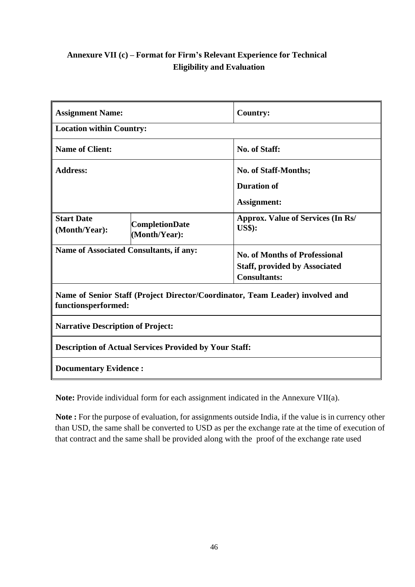# **Annexure VII (c) – Format for Firm's Relevant Experience for Technical Eligibility and Evaluation**

| <b>Assignment Name:</b>                  |                                                               | <b>Country:</b>                                                                                     |  |  |  |  |  |  |
|------------------------------------------|---------------------------------------------------------------|-----------------------------------------------------------------------------------------------------|--|--|--|--|--|--|
| <b>Location within Country:</b>          |                                                               |                                                                                                     |  |  |  |  |  |  |
| <b>Name of Client:</b>                   |                                                               | <b>No. of Staff:</b>                                                                                |  |  |  |  |  |  |
| <b>Address:</b>                          |                                                               | <b>No. of Staff-Months;</b>                                                                         |  |  |  |  |  |  |
|                                          |                                                               | <b>Duration of</b>                                                                                  |  |  |  |  |  |  |
|                                          |                                                               | <b>Assignment:</b>                                                                                  |  |  |  |  |  |  |
| <b>Start Date</b><br>(Month/Year):       | <b>CompletionDate</b><br>(Month/Year):                        | <b>Approx. Value of Services (In Rs/</b><br><b>US\$</b> ):                                          |  |  |  |  |  |  |
| Name of Associated Consultants, if any:  |                                                               | <b>No. of Months of Professional</b><br><b>Staff, provided by Associated</b><br><b>Consultants:</b> |  |  |  |  |  |  |
| functionsperformed:                      |                                                               | Name of Senior Staff (Project Director/Coordinator, Team Leader) involved and                       |  |  |  |  |  |  |
| <b>Narrative Description of Project:</b> |                                                               |                                                                                                     |  |  |  |  |  |  |
|                                          | <b>Description of Actual Services Provided by Your Staff:</b> |                                                                                                     |  |  |  |  |  |  |
|                                          | <b>Documentary Evidence:</b>                                  |                                                                                                     |  |  |  |  |  |  |

**Note:** Provide individual form for each assignment indicated in the Annexure VII(a).

**Note :** For the purpose of evaluation, for assignments outside India, if the value is in currency other than USD, the same shall be converted to USD as per the exchange rate at the time of execution of that contract and the same shall be provided along with the proof of the exchange rate used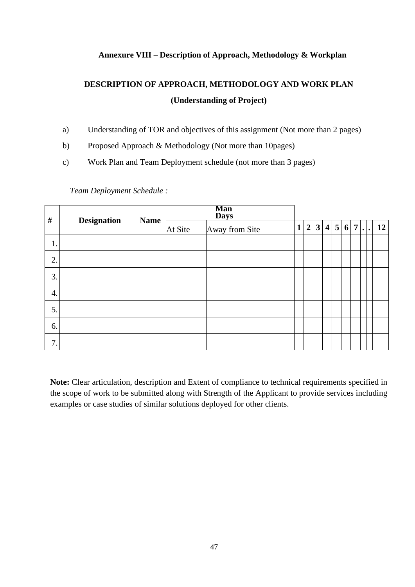## **Annexure VIII – Description of Approach, Methodology & Workplan**

# **DESCRIPTION OF APPROACH, METHODOLOGY AND WORK PLAN (Understanding of Project)**

- a) Understanding of TOR and objectives of this assignment (Not more than 2 pages)
- b) Proposed Approach & Methodology (Not more than 10pages)
- c) Work Plan and Team Deployment schedule (not more than 3 pages)

*Team Deployment Schedule :*

| $\#$               |                    |             | <b>Man</b><br><b>Days</b> |                |              |         |  |  |  |              |
|--------------------|--------------------|-------------|---------------------------|----------------|--------------|---------|--|--|--|--------------|
|                    | <b>Designation</b> | <b>Name</b> | At Site                   | Away from Site | $\mathbf{1}$ | 2 3 4 5 |  |  |  | $6 7 .$   12 |
| $\mathbf{1}$<br>1. |                    |             |                           |                |              |         |  |  |  |              |
| 2.                 |                    |             |                           |                |              |         |  |  |  |              |
| 3.                 |                    |             |                           |                |              |         |  |  |  |              |
| 4.                 |                    |             |                           |                |              |         |  |  |  |              |
| 5.                 |                    |             |                           |                |              |         |  |  |  |              |
| 6.                 |                    |             |                           |                |              |         |  |  |  |              |
| 7.                 |                    |             |                           |                |              |         |  |  |  |              |

**Note:** Clear articulation, description and Extent of compliance to technical requirements specified in the scope of work to be submitted along with Strength of the Applicant to provide services including examples or case studies of similar solutions deployed for other clients.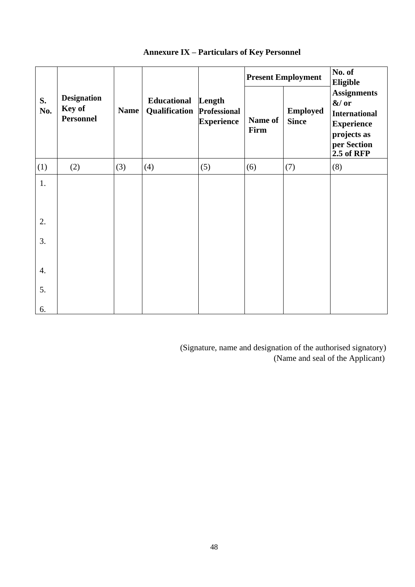|           |                                                  |             |                              |                                             |                 | <b>Present Employment</b>       | No. of<br><b>Eligible</b>                                                                                              |  |  |
|-----------|--------------------------------------------------|-------------|------------------------------|---------------------------------------------|-----------------|---------------------------------|------------------------------------------------------------------------------------------------------------------------|--|--|
| S.<br>No. | <b>Designation</b><br>Key of<br><b>Personnel</b> | <b>Name</b> | Educational<br>Qualification | Length<br>Professional<br><b>Experience</b> | Name of<br>Firm | <b>Employed</b><br><b>Since</b> | <b>Assignments</b><br>$&/$ or<br><b>International</b><br><b>Experience</b><br>projects as<br>per Section<br>2.5 of RFP |  |  |
| (1)       | (2)                                              | (3)         | (4)                          | (5)                                         | (6)             | (7)                             | (8)                                                                                                                    |  |  |
| 1.        |                                                  |             |                              |                                             |                 |                                 |                                                                                                                        |  |  |
| 2.        |                                                  |             |                              |                                             |                 |                                 |                                                                                                                        |  |  |
| 3.        |                                                  |             |                              |                                             |                 |                                 |                                                                                                                        |  |  |
| 4.        |                                                  |             |                              |                                             |                 |                                 |                                                                                                                        |  |  |
| 5.        |                                                  |             |                              |                                             |                 |                                 |                                                                                                                        |  |  |
| 6.        |                                                  |             |                              |                                             |                 |                                 |                                                                                                                        |  |  |

# **Annexure IX – Particulars of Key Personnel**

(Signature, name and designation of the authorised signatory) (Name and seal of the Applicant)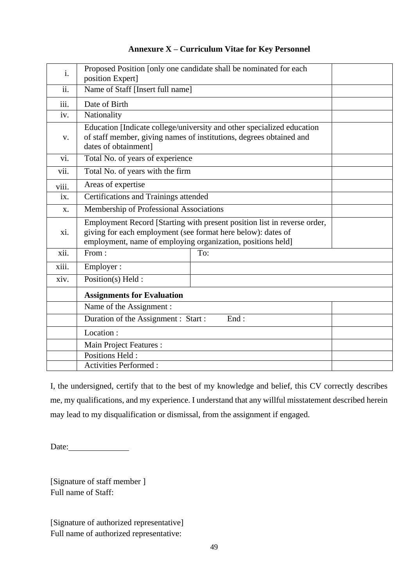| i.    | position Expert]                                                                                                                                                                                        | Proposed Position [only one candidate shall be nominated for each |  |  |  |  |  |  |
|-------|---------------------------------------------------------------------------------------------------------------------------------------------------------------------------------------------------------|-------------------------------------------------------------------|--|--|--|--|--|--|
| ii.   | Name of Staff [Insert full name]                                                                                                                                                                        |                                                                   |  |  |  |  |  |  |
| iii.  | Date of Birth                                                                                                                                                                                           |                                                                   |  |  |  |  |  |  |
| iv.   | Nationality                                                                                                                                                                                             |                                                                   |  |  |  |  |  |  |
| V.    | Education [Indicate college/university and other specialized education<br>of staff member, giving names of institutions, degrees obtained and<br>dates of obtainment]                                   |                                                                   |  |  |  |  |  |  |
| vi.   | Total No. of years of experience                                                                                                                                                                        |                                                                   |  |  |  |  |  |  |
| vii.  | Total No. of years with the firm                                                                                                                                                                        |                                                                   |  |  |  |  |  |  |
| viii. | Areas of expertise                                                                                                                                                                                      |                                                                   |  |  |  |  |  |  |
| ix.   | Certifications and Trainings attended                                                                                                                                                                   |                                                                   |  |  |  |  |  |  |
| X.    | Membership of Professional Associations                                                                                                                                                                 |                                                                   |  |  |  |  |  |  |
| xi.   | Employment Record [Starting with present position list in reverse order,<br>giving for each employment (see format here below): dates of<br>employment, name of employing organization, positions held] |                                                                   |  |  |  |  |  |  |
| xii.  | From:                                                                                                                                                                                                   | To:                                                               |  |  |  |  |  |  |
| xiii. | Employer:                                                                                                                                                                                               |                                                                   |  |  |  |  |  |  |
| xiv.  | Position(s) Held :                                                                                                                                                                                      |                                                                   |  |  |  |  |  |  |
|       | <b>Assignments for Evaluation</b>                                                                                                                                                                       |                                                                   |  |  |  |  |  |  |
|       | Name of the Assignment :                                                                                                                                                                                |                                                                   |  |  |  |  |  |  |
|       | Duration of the Assignment : Start :                                                                                                                                                                    |                                                                   |  |  |  |  |  |  |
|       | Location:                                                                                                                                                                                               |                                                                   |  |  |  |  |  |  |
|       | Main Project Features :                                                                                                                                                                                 |                                                                   |  |  |  |  |  |  |
|       | Positions Held:                                                                                                                                                                                         |                                                                   |  |  |  |  |  |  |
|       | <b>Activities Performed:</b>                                                                                                                                                                            |                                                                   |  |  |  |  |  |  |

# **Annexure X – Curriculum Vitae for Key Personnel**

I, the undersigned, certify that to the best of my knowledge and belief, this CV correctly describes me, my qualifications, and my experience. I understand that any willful misstatement described herein may lead to my disqualification or dismissal, from the assignment if engaged.

Date:

[Signature of staff member ] Full name of Staff:

[Signature of authorized representative] Full name of authorized representative: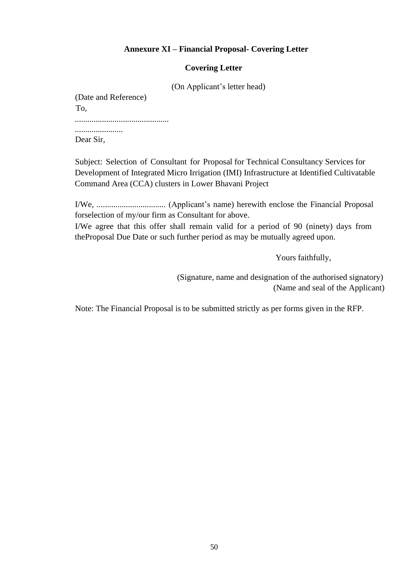# **Annexure XI – Financial Proposal- Covering Letter**

### **Covering Letter**

(On Applicant's letter head)

(Date and Reference) To, ............................................. .......................

Dear Sir,

Subject: Selection of Consultant for Proposal for Technical Consultancy Services for Development of Integrated Micro Irrigation (IMI) Infrastructure at Identified Cultivatable Command Area (CCA) clusters in Lower Bhavani Project

I/We, ................................. (Applicant's name) herewith enclose the Financial Proposal forselection of my/our firm as Consultant for above.

I/We agree that this offer shall remain valid for a period of 90 (ninety) days from theProposal Due Date or such further period as may be mutually agreed upon.

Yours faithfully,

 (Signature, name and designation of the authorised signatory) (Name and seal of the Applicant)

Note: The Financial Proposal is to be submitted strictly as per forms given in the RFP.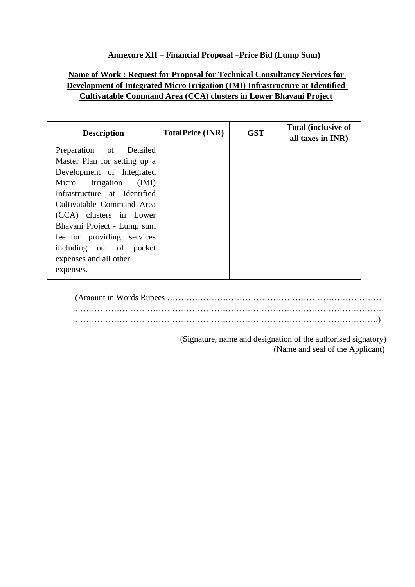# **Annexure XII – Financial Proposal –Price Bid (Lump Sum)**

# **Name of Work : Request for Proposal for Technical Consultancy Services for Development of Integrated Micro Irrigation (IMI) Infrastructure at Identified Cultivatable Command Area (CCA) clusters in Lower Bhavani Project**

| <b>Description</b>           | <b>TotalPrice (INR)</b> | <b>GST</b> | <b>Total (inclusive of</b><br>all taxes in INR) |
|------------------------------|-------------------------|------------|-------------------------------------------------|
| Preparation of Detailed      |                         |            |                                                 |
| Master Plan for setting up a |                         |            |                                                 |
| Development of Integrated    |                         |            |                                                 |
| Micro Irrigation (IMI)       |                         |            |                                                 |
| Infrastructure at Identified |                         |            |                                                 |
| Cultivatable Command Area    |                         |            |                                                 |
| (CCA) clusters in Lower      |                         |            |                                                 |
| Bhavani Project - Lump sum   |                         |            |                                                 |
| fee for providing services   |                         |            |                                                 |
| including out of pocket      |                         |            |                                                 |
| expenses and all other       |                         |            |                                                 |
| expenses.                    |                         |            |                                                 |

(Amount in Words Rupees …………………………………………………………………… ………………………………………………………………………………………………… ……………………………………………………………………………………………….)

> (Signature, name and designation of the authorised signatory) (Name and seal of the Applicant)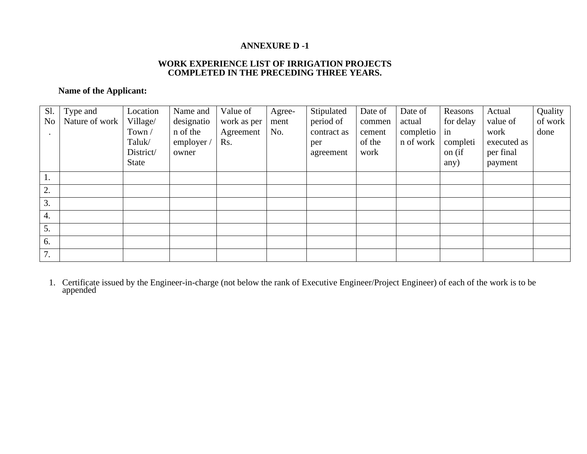## **ANNEXURE D -1**

#### **WORK EXPERIENCE LIST OF IRRIGATION PROJECTS COMPLETED IN THE PRECEDING THREE YEARS.**

# **Name of the Applicant:**

| Sl.              | Type and       | Location  | Name and   | Value of    | Agree- | Stipulated  | Date of | Date of   | Reasons   | Actual      | Quality |
|------------------|----------------|-----------|------------|-------------|--------|-------------|---------|-----------|-----------|-------------|---------|
| N <sub>o</sub>   | Nature of work | Village/  | designatio | work as per | ment   | period of   | commen  | actual    | for delay | value of    | of work |
|                  |                | Town /    | n of the   | Agreement   | No.    | contract as | cement  | completio | in        | work        | done    |
|                  |                | Taluk/    | employer / | Rs.         |        | per         | of the  | n of work | completi  | executed as |         |
|                  |                | District/ | owner      |             |        | agreement   | work    |           | on (if    | per final   |         |
|                  |                | State     |            |             |        |             |         |           | any)      | payment     |         |
| 1.               |                |           |            |             |        |             |         |           |           |             |         |
| 2.               |                |           |            |             |        |             |         |           |           |             |         |
| 3.               |                |           |            |             |        |             |         |           |           |             |         |
| $\overline{4}$ . |                |           |            |             |        |             |         |           |           |             |         |
| 5.               |                |           |            |             |        |             |         |           |           |             |         |
| 6.               |                |           |            |             |        |             |         |           |           |             |         |
| 7.               |                |           |            |             |        |             |         |           |           |             |         |

1. Certificate issued by the Engineer-in-charge (not below the rank of Executive Engineer/Project Engineer) of each of the work is to be appended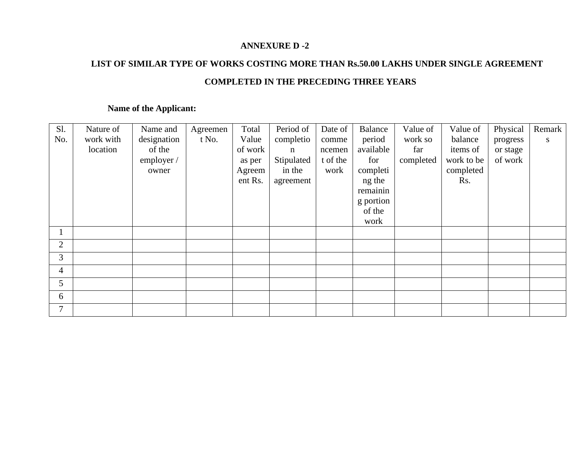## **ANNEXURE D -2**

# **LIST OF SIMILAR TYPE OF WORKS COSTING MORE THAN Rs.50.00 LAKHS UNDER SINGLE AGREEMENT COMPLETED IN THE PRECEDING THREE YEARS**

# **Name of the Applicant:**

| S1.          | Nature of | Name and    | Agreemen | Total   | Period of  | Date of  | <b>Balance</b> | Value of  | Value of   | Physical | Remark |
|--------------|-----------|-------------|----------|---------|------------|----------|----------------|-----------|------------|----------|--------|
| No.          | work with | designation | t No.    | Value   | completio  | comme    | period         | work so   | balance    | progress | S      |
|              | location  | of the      |          | of work | n          | ncemen   | available      | far       | items of   | or stage |        |
|              |           | employer /  |          | as per  | Stipulated | t of the | for            | completed | work to be | of work  |        |
|              |           | owner       |          | Agreem  | in the     | work     | completi       |           | completed  |          |        |
|              |           |             |          | ent Rs. | agreement  |          | ng the         |           | Rs.        |          |        |
|              |           |             |          |         |            |          | remainin       |           |            |          |        |
|              |           |             |          |         |            |          | g portion      |           |            |          |        |
|              |           |             |          |         |            |          | of the         |           |            |          |        |
|              |           |             |          |         |            |          | work           |           |            |          |        |
| $\mathbf{1}$ |           |             |          |         |            |          |                |           |            |          |        |
| 2            |           |             |          |         |            |          |                |           |            |          |        |
| 3            |           |             |          |         |            |          |                |           |            |          |        |
| 4            |           |             |          |         |            |          |                |           |            |          |        |
| 5            |           |             |          |         |            |          |                |           |            |          |        |
| 6            |           |             |          |         |            |          |                |           |            |          |        |
| 7            |           |             |          |         |            |          |                |           |            |          |        |